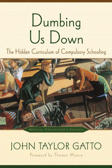# Dumbing Us Down

# The Hidden Curriculum of Compulsory Schooling



# **JOHN TAYLOR GATTO**

Foreword by Thomas Moore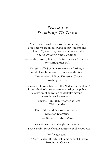# *Praise for Dumbing Us Down*

You've articulated in a most profound way the problems we are all observing in our students and children. My own 18-year-old commented that you clearly know what's going on.

— Cynthia Brown, Editor, *The International Educator*, West Bridgwater MA

I'm still baffled by how someone so forthright would have been named Teacher of the Year.

— Jeanne Allen, Editor, *Education Update*, Washington DC

… a masterful presentation of the "hidden curriculum." I can't think of anyone presently taking the public discussion of education so skillfully beyond where it usually gets stuck.

> — Eugene J. Burkart, Attorney at Law, Waltham MA

One of the world's most controversial education reformists.

— *The Western Australian*

…inspirational and chillingly on the money.

— Bruce Bebb, *The Hollywood Reporter*, Hollywood CA

You've got guts.

— D'Arcy Rickard, British Columbia School Trustees Association, Canada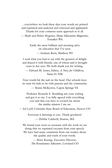…everywhere we look these days your words are printed and reprinted and analyzed and criticized and applauded. Thanks for your common sense approach to it all.

— Mark and Helen Hegener, *Home Education Magazine*, Tonasket WA

> Easily the most brilliant and arresting salvo on education that I've seen.

> > — Graham Betts, Madison WI

I read what you had to say with the greatest of delight and shared it with friends, one of whom said it brought tears to her eyes. We both thank you for writing.

— Edward M. Jones, Editor, *A Voice for Children*, Santa Fe NM

Your words hit the nail on the head. Our schools leave no time for kids to be with parents and the community.

— Bonni McKeown, Capon Springs VA

Professor Kenneth E. Boulding saw your writing and got it to me. I so fully agreed with everything you said that you have re-excited me about the similar mission I am on.

— Ed Lyell, Colorado State Board of Education, Denver CO

Everyone is listening to you. Thank goodness!

— Debbie Caldwell, Boston, MA

We found your views so resonant with the work we are doing that we reprinted excerpts from your speech. We have had many comments from our readers about the quality and truth of your words.

> — Betsy Koenig, Executive Director, *The Renaissance Educator*, Loveland CO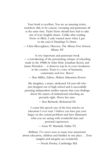Your book is excellent. You are an amazing writer, somehow able to be concise, sweeping and passionate all at the same time. Paulo Freire should have had to take one of your English classes. Unlike after reading Freire or Illich, I only wanted more when I got to the end of *Dumbing Us Down*.

— Chris Mercogliano, Director, The Albany Free School, Albany NY

A very important and passionate book — a reawakening of the penetrating critique of schooling made in the 1960s by John Holt, Jonathan Kozol, and James Herndon … it deserves top be in every bookstore in the country. Yours is a voice of humanity, community and love. Bravo!

— Ron Miller, Editor, *Holistic Education Review*

My daughter, a smart, dedicated 14-year-old who just dropped out of high school and is successfully pursuing independent studies reports that your findings about the nature of institutional schooling are precisely right. Drove her nuts.

— Ken Richards, Richmond IN

I count this speech one of the best articles on education I ever read. I believe you have put your finger on the central problems and have illustrated what you are saying with wonderful data and personal experiences.

— Gene W. Marshall, Dallas TX

Brilliant. I've never seen so many true statements about education, children and families in one place. …Your insights and integrity are wonderful.

— Norah Dooley, Cambridge MA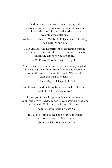Seldom have I read such a penetrating and passionate diagnosis of our current educational and cultural crisis. And I have read all the current weighty expostulations.

— Robert Inchausti, California Polytechnic University, San Luis Obispo CA

I can visualize the Department of Education putting out a contract on your life. Please continue to speak out in the direction you are going.

— W. Evans, Woodbury/St.George UT

Your articles are wonderful and so desperately needed. I've copied them for a dozen families and everyone was enthusiastic. One mother said, "We should elect this man President!" — Elaine Majors, Chapel Hill NC

Any student would be lucky to have a teacher like Gatto.

— Editorial in *Commonweal*

Thank you for challenging public education – in your *Wall Street Journal* editorial, your evening program at Carnegie Hall, your book, and all the rest.

— Sandra Booth, Spring Valley NY

It is as refreshing to read and hear your words as it is to study Zen… Good show!

— John Warfield, Huntingdon VA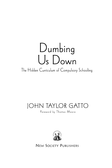# Dumbing<br>Us Down The Hidden Curriculum of Compulsory Schooling

# **JOHN TAYLOR GATTO**

Foreword by Thomas Moore



NEW SOCIETY PUBLISHERS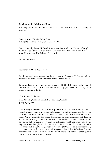#### **Cataloguing in Publication Data:**

A catalog record for this publication is available from the National Library of Canada.

#### **Copyright © 2005 by John Gatto. All rights reserved.** Original edition © 1992.

Cover design by Diane McIntosh from a painting by George Deem, *School of Balthus*, 1985 (detail). Oil on canvas. Courtesy Pavel Zoubok Gallery, New York. Photographed by Edward Peterson Jr.

Printed in Canada.

Paperback ISBN: 0-86571-448-7

Inquiries regarding requests to reprint all or part of *Dumbing Us Down* should be addressed to New Society Publishers at the address below.

To order directly from the publishers, please add \$4.50 shipping to the price of the first copy, and \$1.00 for each additional copy (plus GST in Canada). Send check or money order to:

New Society Publishers

P.O. Box 189, Gabriola Island, BC V0R 1X0, Canada 1-800-567-6772

New Society Publishers' mission is to publish books that contribute in fundamental ways to building an ecologically sustainable and just society, and to do so with the least possible impact on the environment, in a manner that models this vision. We are committed to doing this not just through education, but through action. We are acting on our commitment to the world's remaining ancient forests by phasing out our paper supply from ancient forests worldwide. This book is one step towards ending global deforestation and climate change. It is printed on acidfree paper that is **100% old growth forest-free** (100% post-consumer recycled), processed chlorine free, and printed with vegetable based, low VOC inks. For further information, or to browse our full list of books and purchase securely, visit our website at: www.newsociety.com

NEW SOCIETY PUBLISHERS **www.newsociety.com**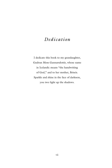## *Dedication*

I dedicate this book to my grandaughter, Gudrun Moss Gunnarsdottir, whose name in Icelandic means "the handwriting of God," and to her mother, Briseis. Sparkle and shine in the face of darkness, you two light up the shadows.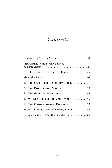# *Contents*

| Introduction to the Second Edition,               |
|---------------------------------------------------|
| Publisher's Note - from the First Edition  xxviii |
|                                                   |
| 1. THE SEVEN-LESSON SCHOOLTEACHER 1               |
| 2. THE PSYCHOPATHIC SCHOOL  20                    |
| 3. THE GREEN MONONGAHELA  35                      |
| 4. WE NEED LESS SCHOOL, NOT MORE  46              |
| 5. THE CONGREGATIONAL PRINCIPLE 73                |
| Afterword: to the Tenth Anniversary Edition  95   |
| Postscript 2005 — from the Publisher 104          |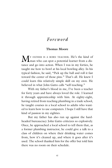### *Foreword*

#### **Thomas Moore**

M<sup>Y FATHER IS A BORN TEACHER. He's the kind of man who can spot a potential learner from a dis-</sup> tance and go into action. When I was in my forties, he taught me how to bowl at his local bowling alley. In his typical fashion, he said, "Pick up the ball and roll it fast toward the center of those pins." That's all. He knew I could learn this relatively simple skill on my own. He believed in what John Gatto calls "self-teaching."

With my father's blood in me, I've been a teacher for forty years and have always loved the role. I learned it through apprenticeship with him. At eighty-eight, having retired from teaching plumbing in a trade school, he taught courses in a local school to adults who wanted to learn how to use computers. I hope I still have that kind of passion in my eighties.

But my father has also run up against the hardheaded bureaucracy John Gatto criticizes so explosively. Once, he approached a local school to tell them that, as a former plumbing instructor, he could give a talk to a class of children on where their drinking water comes from, how it's cleaned up, and where it goes after it's used. The school thanked him for the offer but told him there was no room on their schedule.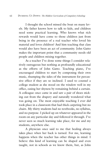I thought the school missed the boat on many levels. My father knows how to talk to kids, and children need some practical learning. Who knows what rich rewards would have come to those children just from being in the presence of a real teacher who loved his material and loves children? And him teaching that class would also have been an act of community. John Gatto makes the important point that a community needs old people and children mixing together.

As a teacher I've done some things I consider relatively outrageous but nothing as profoundly educational as the efforts of John Gatto. Teaching piano, I've encouraged children to start by composing their own music, thumping the sides of the instrument for percussive effect if they are so inclined. I used to counsel a college student as she stood on the window well in my office, easing her shyness by remaining behind a curtain. A colleague once came in and saw a pair of shoes sticking out from the drapery and naturally wondered what was going on. The most enjoyable teaching I ever did took place in a classroom that had thick carpeting but no chairs. My thirty students had no textbooks, no syllabus, and no purpose. I picked up on whatever appeared in the room on any particular day and followed it through. I've never seen so much learning take place, for me and my students, anywhere else.

A physician once said to me that healing always takes place when her back is turned. For me, learning happens when the teacher has other things in mind. I believe this kind of learning can be shaped and even taught, not in schools as we know them, but, as John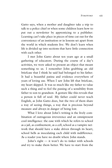Gatto says, when a mother and daughter take a trip to talk to a police chief or when some children learn how to put out a newsletter by apprenticing to a publisher. Learning can't take place in pieces of time cut out for the convenience of an institution or in lessons set apart from the world in which students live. We don't learn when life is divided up into sections that have little connection with each other.

I met John Gatto about ten years ago at a small gathering of educators. During the course of a day's activities, we were asked to present an object that meant something to us. I remember John grabbing an old briefcase that I think he said had belonged to his father. It had a beautiful patina and evidence everywhere of years of loving use. When I saw John lift that briefcase, my heart skipped. It was so much like my father to value such a thing and to feel the passing of a sensibility from father to son to grandson. A gesture like this reveals that a person is full of soul. My father could never teach English, as John Gatto does, but the two of them share a way of seeing things, a way that is precious beyond measure and always in danger of being lost.

What I love about John's writing is the lively combination of outrageous irreverence and an omnipresent cool intelligence: the ease with which he refers to school as a jail, as confinement, as a cell; school as a vampire network that should have a stake driven through its heart; school bells as inoculating each child with indifference. As a reader you have no doubt where John stands.

John's right — it won't do to tinker with schools and try to make them better. We have to start from the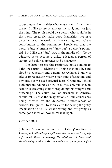ground up and reconsider what education is. In my language, I'd like to see us educate the soul, and not just the mind. The result would be a person who could be in this world creatively, make good friendships, live in a place he loved, do work that is rewarding, and make a contribution to the community. People say that the word "educate" means to "draw out" a person's potential. But I like the "duc"-part in the middle of it. To be educated is to become a duke, a leader, a person of stature and color, a presence and a character.

I'm happy to see this passionate book coming to light once again. I celebrate it. I think it should be read aloud to educators and parents everywhere. I know it asks us to reconsider what we may think of as natural and obvious, but we need original ideas. Crumbling school buildings are telling us how tired they are. Violence in schools is screaming at us to stop doing this thing we call "teaching." The sorry level of discourse in America should tell us that the imaginations of our citizens are being cheated by the desperate ineffectiveness of schools. I'm grateful to John Gatto for having the gutsy imagination to tell us what's wrong and for giving us some good ideas on how to make it right.

October 2001

(Thomas Moore is the author of *Care of the Soul: A Guide for Cultivating Depth and Sacredness in Everyday Life, Soul Mates: Honoring the Mysteries of Love and Relationship*, and *The Re-Enchantment of Everyday Life*.)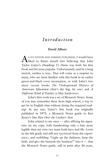### *Introduction*

#### **David Albert**

AS ITS EDITOR AND FORMER PUBLISHER, I would have<br>liked to flatter myself into believing that John Taylor Gatto's *Dumbing Us Down* was both his first book and his most popular. Unfortunately, and by a long stretch, neither is true. That will come as a surprise to many, who are most familiar with this book in its earlier green-and-black cover incarnation, or with John's two more recent books *The Underground History of American Education* (that's the big, fat one) and *A Different Kind of Teacher* (a blue hardcover).

John's first work was a set of Monarch Notes. Some of you may remember these from high school, a way to get by in English class without doing the required reading! At any rate, Gatto's first book was originally published in 1975, a Monarch Notes guide to Ken Kesey's *One Flew Over the Cuckoo's Nest.*

John related to me once — after affixing his signature on my copy, with handwriting only a hair more legible than my own (we must both have had Mr. Lewis in the 6th grade and still not recovered from the experience), and scribbling "Light up the darkness, keep the faith, and give the bastards the business!" into it  $-$  that the Monarch Notes guide, still in print after 26 years,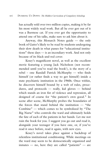has actually sold over two million copies, making it by far his most widely read work. But all he ever got out of it was a Burmese cat. If you ever get the opportunity to attend one of his talks, make sure to ask him about it.

Anyway, this Monarch Notes guide — the only book of Gatto's likely to be read by students undergoing their slow death in what passes for "educational institutions" these days — is an incendiary work. And not only because of its black-and-red cover.

Kesey's magnificent novel, as well as the excellent movie featuring a young Jack Nicholson (not recommended until you've read the book!), is the story of a rebel – one Randall Patrick McMurphy — who finds himself (or rather finds a way to get himself) inside a state psychiatric institution in the 1960s. Once within, he discovers himself bound by a web of rules, procedures, and protocols — really, kid gloves — behind which stands an iron fist of violence and repression, all designed of course for "the patient's own good." In scene after scene, McMurphy probes the boundaries of the forces that stand behind the institution — "the Combine" — which comes to be symbolized by "The Big Nurse" who controls the ward and ultimately holds the fate of each of the patients in her hands. Let me not ruin the book for you. I suggest you go out and read it, alongside your teenager if you have one, or, if you've read it once before, read it again, with new eyes.

Kesey's novel takes place against a backdrop of relentless institutional conditioning. While meetings on the ward may seem to be democratically organized and  $inmates$  — no, here they are called "patients" — are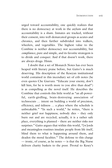urged toward accountability, one quickly realizes that there is no democracy at work in the asylum and that accountability is a sham. Inmates are tracked, without their consent, into well-demarcated groups as acutes and chronics, and then further subdivided into walkers, wheelers, and vegetables. The highest value to the Combine is neither democracy nor accountability, but *compliance*, pure and simple, and its favorite strategem is to divide and conquer. And if that doesn't work, there are always drugs. Hmm.

I doubt that a set of Monarch Notes has ever been heaped with literary praise before, but Gatto's is much deserving. His description of the Keseyan institutional world contained in this incendiary set of crib notes (he even quotes Che Guevara: "Educate your enemy, don't kill him, for he is worth more to you alive than dead") is as compelling as the novel itself. He describes the Combine that controls this little world as "an all-powerful, earth-girdling, brain-destroying association of technocrats … intent on building a world of precision, efficiency, and tidiness … a place where the schedule is unbreakable." "In such a world," he writes, "there is neither grief nor happiness; nobody dies – they only burn out and are recycled; actually, it is a rather safe place, everything is planned – there are neither risks nor surprises." Gatto argues that within this world, "[w]ords and meaningless routines insulate people from life itself, blind them to what is happening around them, and deaden the moral faculties." The defense to this charge — ironic, of course, as he notes — is that the Big Nurse delivers charity baskets to the poor. Pivotal to Kesey's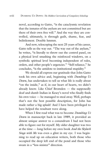novel, according to Gatto, "is the cataclysmic revelation that the inmates of the asylum are not committed but are there of their own free will." And the way they are controlled, ultimately, is through guilt, shame, fear, and belittlement. Double hmmm.

And now, telescoping the next 25 years of his career, Gatto tells us the way out. "The way out of the asylum," he writes, "is literally to throw out the control panel, on a physical level smashing the reinforced windows, on a symbolic spiritual level becoming independent of rules, orders, and other people's urgencies." "Self-reliance," he concludes, "is the antidote to institutional stupidity."

We should all express our gratitude that John Gatto took his own advice and, beginning with *Dumbing Us Down*, has undertaken to tell us what life is really about "on the inside," as if, in our heart of hearts, we didn't already know. Like Chief Bromden — the supposedly deaf-and-dumb Indian in Kesey's novel who finally finds his own voice — he managed to steal away. Well, perhaps that's not the best possible description, for John has made rather a big splash! And I have been privileged to have helped the resultant wave along.

When I first read what was to become *Dumbing Us Down* in manuscript back in late 1989, it provided an almost unique answer to a conundrum I had not been able to figure out for myself. My older daughter was two at the time — long before my own book *And the Skylark Sings with Me* was even a glint in my eye. I was beginning to read up on education writers, both those who occupied the deep left end of the pond and those who swam in a "less sinister" direction.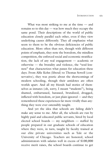What was most striking to me at the time — and remains so to this day — was how much they occupy the same pond. Their descriptions of the world of public education closely parallel each other, even if they view underlying causes differently. They all emphasize what seem to them to be the obvious deficiencies of public education. More often than not, though with different points of emphasis, they note the boredom, the mindless competition, the enforced social and economic stratification, the lack of any real engagement — academic or otherwise — the brutality and violence, the "soul-lessness" that characterizes what passes for education these days. From Alfie Kohn (liberal) to Thomas Sowell (conservative), they wax poetic about the shortcomings of modern schooling, though their antidotes are often worlds apart. And all my friends had stories of themselves as inmates (oh, sorry, I meant "students"), being shamed, embarrassed, harassed, brutalized, drugged, inflicted with boredom, or just plain ignored — and they remembered these experiences far more vividly than anything they were ever ostensibly taught.

And yet the idea that schools are failing didn't make any sense to me. After all, the schools are run by highly paid and educated public servants, hired by local elected school boards — my neighbors — staffed by people prepared in our graduate schools of education where they were, in turn, taught by faculty trained at our elite private universities such as Yale or the University of Chicago. Teachers are honored, school administrators with salaries well in excess of \$100,000 receive merit raises, the school boards continue to get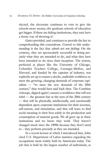elected, the electorate continues to vote to give the schools more money, the graduate schools of education get bigger. If these are failing institutions, they sure have a funny way of showing it!

Gatto provided, and continues to provide the key to comprehending this conundrum. Central to this understanding is the fact that *schools are not failing*. On the contrary, they are spectacularly successful in doing precisely what they are intended to do, and what they have been intended to do since their inception. The system, perfected at places like the University of Chicago, Columbia Teachers College, Carnegie-Mellon, and Harvard, and funded by the captains of industry, was explicitly set up to ensure a docile, malleable workforce to meet the growing, changing demands of corporate capitalism — "to meet the new demands of the 20th century," they would have said back then. The Combine (whoops, slipped again!) ensures a workforce that will not rebel — the greatest fear at the turn of the 20th century — that will be physically, intellectually, and emotionally dependent upon corporate institutions for their incomes, self-esteem, and stimulation, and that will learn to find social meaning in their lives solely in the production and consumption of material goods. We all grew up in these institutions and we know they work. They haven't changed much since the 1890s because they don't need to – they perform precisely as they are intended.

In a recent lecture at which I introduced him, John cited U.S. Department of Labor statistics regarding the occupations most widely held by Americans today. The job that is held by the largest number of individuals, as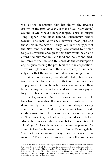well as the occupation that has shown the greatest growth in the past 30 years, is that of Wal-Mart clerk.\* Second is McDonald's burger flipper. Third is Burger King flipper. And close behind? Elementary school teacher. The main difference between these jobs and those held in the days of Henry Ford in the early part of the 20th century is that Henry Ford wanted to be able to pay his workers enough so that they would be able to afford new automobiles (and food and houses and medical care) themselves and thus provide the consumption engine guaranteeing the profitability of the corporation. Now, with globalization of the marketplace, it is undeniably clear that the captains of industry no longer care.

What do they really care about? That public education be public. In other words, that we — and not they — pay for it. Corporate institutions have unloaded their basic training needs on to us, and we voluntarily pay to forge the chains of our own servitude.

So far, so good. But the obvious question that follows from this is this: If educational institutions are so demonstrably successful, why are we always hearing about their failures? And here Gatto might have provided the answer, for in his aborted career before becoming a New York City schoolteacher, one decade before Monarch Notes and almost four before this edition of *Dumbing Us Down*, he was an advertising copywriter, "a young fellow," as he writes in The Green Monongahela, "with a knack for writing thirty-second television commercials." The copywriter knows that to sell a product or

<sup>\*</sup>In fact the number of people employed by Wal-Mart and their families is greater than the population of each of the following states: Alabama, Alaska, Arkansas, Colorado, Connecticut, Delaware, Hawaii, Idaho, Iowa, Kansas, Kentucky, Louisiana, Maine, Mississippi, Montana, Nebraska, Nevada, New Hampshre, New Mexico, North Dakota, Oklahoma, Oregon, Rhode Island, South Carolina, South Dakota, Utah, Vermont, West Virginia, and Wyoming.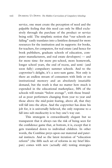service, one must create the perception of need and the palpable feeling that this need can only be filled exclusively through the purchase of the product or service being sold. The simplistic notion that "our schools are failing" easily translates into a limitless demand for more resources for the institution and its supports: for books, for teachers, for computers, for real estate (and hence for book publishers, graduate schools of education, computer manufacturers, and real estate developers) — and for more time: for more pre-school, more homework, longer school years, the end of recess, and semi- (and soon fully) compulsory summer schools. And to the copywriter's delight, it's a zero-sum game. Not only is there an endless stream of consumers with little or no institutional memory and an absolutely insatiable demand, but the truth is that no matter how much is expended in the educational marketplace, 50% of the schools will remain "below average", with those branded as poor performers changing from year to year and those above the mid-point fearing, above all, that they will fall into the abyss. And the copywriter has done his job for, it is universally believed, the only response to a fall into sub-mediocrity is to buy one's way out.

This strategem is extraordinarily elegant but so transparent that it always ran the risk of being seen for the confidence game that, at bottom, it is, except that it gets translated down to individual children. In other words, the Combine preys upon our maternal and paternal instincts. And so the latest iteration of "education reform" (the fifth such set of reforms in my brief lifespan) comes with new (actually old) testing strategies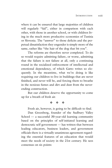where it can be ensured that large majorities of children will regularly "fail", either in comparison with each other, with those in another school, or with children living in the much more productive economies of Tunisia or Slovenia. The "answer" to those deficits and the perpetual dissatisfaction they engender is simply more of the same, rather like "the hair of the dog that bit you".

The reforms are therefore never completed. To do so would require admitting failure, or worse, admitting that the failure is not failure at all, only a continuing round in the socialized enforcement of intellectual and emotional dependency, of which Gatto writes so eloquently. In the meantime, what we're doing is like requiring our children to live in buildings that are never finished, and never will be, and forcing them to breathe in the noxious fumes and dirt and dust from the neverending construction.

But our children deserve the opportunity to come up for a breath of fresh air.

#### $\begin{array}{ccccc} \phi & \phi & \phi \end{array}$

Fresh air, however, is going to be difficult to find.

Dan Greenberg, founder of the Sudbury Valley School — a successful 30-year-old learning community based on the principles of self-initiated learning and democratic self-government — has written that between leading educators, business leaders, and government officials there is a virtually unanimous agreement regarding the essential features of an education that would meet the needs of society in the 21st century. He sees consensus on six points: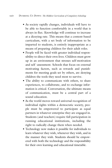- As society rapidly changes, individuals will have to be able to function comfortably in a world that is always in flux. Knowledge will continue to increase at a dizzying rate. This means that a content-based curriculum, with a set body of information to be imparted to students, is entirely inappropriate as a means of preparing children for their adult roles.
- People will be faced with greater individual responsibility to direct their own lives. Children must grow up in an environment that stresses self-motivation and self -assessment. Schools that focus on external motivating factors, such as rewards and punishments for meeting goals set by others, are denying children the tools they need most to survive.
- The ability to communicate with others, to share experiences, to collaborate, and to exchange information is critical. Conversation, the ultimate means of communication, must be a central part of a sound education.
- As the world moves toward universal recognition of individual rights within a democratic society, people must be empowered to participate as equal partners in whatever enterprise they are engaged in. Students (and teachers) require full participation in running educational institutions, including the right to radically change them when needed.
- Technology now makes it possible for individuals to learn whatever they wish, whenever they wish, and in the manner they wish. Students should be empowered with both the technology and the responsibility for their own learning and educational timetable.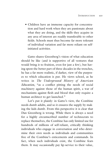• Children have an immense capacity for concentration and hard work when they are passionate about what they are doing, and the skills they acquire in any area of interest are readily transferable to other fields. Schools must thus become far more tolerant of individual variation and far more reliant on selfinitiated activities.

Gatto shares Greenberg's vision of what education should be like (and is supportive of all ventures that would bring it to fruition, even for just a few), but having spent the better part of three decades in the trenches, he has a far more realistic, if darker, view of the purposes to which education is put. He views school, as he writes in *The Underground History of American Education*, "as a conflict pitting the needs of social machinery against those of the human spirit, a war of mechanisms against flesh and blood that only require a human architect to get launched."

Let's put it plainly: in Gatto's view, the Combine needs dumb adults, and so it ensures the supply by making the kids dumb. From this perspective it is clear that Dan Greenberg is wrong. While there is always a need for a highly circumscribed number of technocrats to replace themselves, the Combine has only limited use for hundreds of millions of self-reliant, critically thinking individuals who engage in conversation and who determine their own needs as individuals and communities free of the Combine's enticements and commands. In fact, when such individuals exist, the Combine fears them. It may occasionally pay lip-service to their value,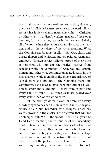but it ultimately has no real use for artists, dancers, poets, self-sufficient farmers, tree lovers, devoted followers of what it views as non-materialist cults — Christian or otherwise — handicraft workers, makers of their own beer, or, for that matter, stay-at-home moms and dads, all of whom, when they endure at all, do so at the margins and on the periphery of the social economy. What the Combine needs, most of all, is Wal-Mart clerks and burger flippers and dedicated but low-paid, governmentemployed "foreign service officers" proud of their titles as teachers, who prevent the restless natives from rebelling while the extraction of resources and capital, human and otherwise, continues unabated. And, in the final analysis, while it employs the most extraordinary of spin-doctors and apologists, the Combine makes no compromises and takes no prisoners, not until it has colonized every nerve ending — every minute part and every habit of mind — as much as it has passed over every square inch of this good earth.

But the strategy doesn't work entirely. For every McMurphy who has had his brain fried, there is the possibility of a Chief Bromden who escapes. There are weeds growing in the cracks in the highway that will not be stamped out. We — the weeds — are here: you and I and Dan Greenberg and the author of our incendiary book. There are now a million homeschoolers, and there will soon be another million homeschool alumni. And with us, maybe, just maybe, and unlike what happened with any of the abortive alternative school movements of the past century, will come the power with enough weeds grown up into tall trees — to block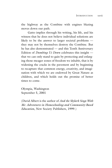the highway as the Combine with engines blazing moves down our path.

Gatto implies through his writing, his life, and his witness that he does not believe individual solutions are likely to be the answer to larger societal problems they may not by themselves destroy the Combine. But he has also demonstrated — and this Tenth Anniversary Edition of *Dumbing Us Down* celebrates this insight that we can only stand to gain by protecting and enlarging those meager zones of freedom we inhabit, that is by widening the cracks in the pavement and by beginning to recapture that common energy, creativity, and imagination with which we are endowed by Great Nature as children, and which holds out the promise of better times to come.

Olympia, Washington September 5, 2001

(David Albert is the author of *And the Skylark Sings With Me: Adventures in Homeschooling and Community-Based Education*, New Society Publishers, 1999.)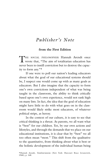### *Publisher's Note*

#### **from the First Edition**

THE SOCIAL PHILOSOPHER Hannah Arendt once<br>wrote that, "The aim of totalitarian education has never been to instill conviction but to destroy the capacity to form any."\*

If one were to poll our nation's leading educators about what the goal of our educational systems should be, I suspect one would come up with as many goals as educators. But I also imagine that the capacity to form one's own convictions independent of what was being taught in the classroom, the ability to think critically based upon one's own experience, would not rank high on many lists. In fact, the idea that the goal of education might have little to do with what goes on in the classroom would likely strike most educators, of whatever political stripe, as heresy.

In the context of our culture, it is easy to see that critical thinking is a threat. As parents, we all want what is "best" for our children. Yet, by our own actions and lifestyles, and through the demands that we place on our educational institutions, it is clear that by "best" we all too often mean "most." This shift from the qualitative to the quantitative, from thinking about what is best or the holistic development of the individual human being

<sup>\*</sup>Hannah Arendt, *Totalitarianism* (New York: Harcourt Brace Jovanovich, 1968), p. 168.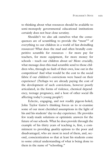to thinking about what resources should be available to semi-monopoly governmental educational institutions certainly does not bear close scrutiny.

Shouldn't we also ask ourselves what the consequences are of scrambling to provide the "most"" of everything to our children in a world of fast-dwindling resources? What does the mad and often brutally competitive scramble for resources – for more pay for teachers, for more equipment, for more money for schools – teach our children about us? More crucially, what message does this mad scramble send to those children who, through no fault of their own, lose out in the competition? And what would be the cost to the social fabric if our children's convictions were based on their experience? (Perhaps we are already paying the cost of the development of such convictions, however poorly articulated, in the forms of violence, chemical dependency, teenage pregnancy, and a host of other social ills affecting today's young people?)

Eclectic, engaging, and not readily pigeon-holed, John Taylor Gatto's thinking forces us to re-examine some of our most cherished assumptions in the light of his and his students' day-to-day experience. He provides few ready-made solutions or optimistic answers for the future of our schools. What he does provide through the example of his thirty years of teaching is, first, a commitment to providing *quality* options to the poor and disadvantaged, who are most in need of them, and, second, conscientization so that at least his students come to some critical understanding of what is being done to them in the name of "schooling."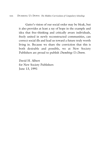#### xxx DUMBING US DOWN: *The Hidden Curriculum of Compulsory Schooling*

Gatto's vision of our social order may be bleak, but it also provides at least a ray of hope in the example and idea that free-thinking and critically aware individuals, freely united in newly reconstructed communities, can correct social ills and lead us toward a future truly worth living in. Because we share the conviction that this is both desirable and possible, we at New Society Publishers are proud to publish *Dumbing Us Down*.

David H. Albert for New Society Publishers June 13, 1991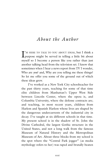## *About the Author*

I'M HERE TO TALK TO YOU ABOUT IDEAS, but I think a<br>purpose might be served in telling a little bit about T'M HERE TO TALK TO YOU ABOUT IDEAS, but I think a myself so I become a person like you rather than just another talking head from the television set. I know that sometimes when I hear a news report from TV I wonder, Who are *you*? and, Why are you telling me these things? So let me offer you some of the ground out of which these ideas grew.

I've worked as a New York City schoolteacher for the past thirty years, teaching for some of that time elite children from Manhattan's Upper West Side between Lincoln Center, where the opera is, and Columbia University, where the defense contracts are; and teaching, in most recent years, children from Harlem and Spanish Harlem whose lives are shaped by the dangerous undercurrents of the industrial city in decay. I've taught at six different schools in that time. My present school is in the shadow of St. John the Divine Cathedral, the largest Gothic structure in the United States, and not a long walk from the famous Museum of Natural History and the Metropolitan Museum of Art. About three blocks from my school is the spot where the "Central Park jogger" (as media mythology refers to her) was raped and brutally beaten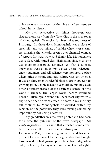a few years ago — seven of the nine attackers went to school in my district.

My own perspective on things, however, was shaped a long way from New York City, in the river town of Monongahela, Pennsylvania, forty miles southeast of Pittsburgh. In those days, Monongahela was a place of steel mills and coal mines, of paddle-wheel river steamers churning the emerald green water chemical orange, of respect for hard work and family life. Monongahela was a place with muted class distinctions since everyone was more or less poor, although very few, I suspect, knew they were poor. It was a place where independence, toughness, and self-reliance were honored, a place where pride in ethnic and local culture was very intense. It was an altogether wonderful place to grow up, even to grow up poor. People talked to each other, minding each other's business instead of the abstract business of "the world." Indeed, the larger world hardly extended beyond Pittsburgh, a wonderful dark steel city worth a trip to see once or twice a year. Nobody in my memory felt confined by Monongahela or dwelled, within my earshot, on the possibility they were missing something important by not being elsewhere.

My grandfather was the town printer and had been for a time the publisher of the town newspaper, *The Daily Republican* — a name that attracted some attention because the town was a stronghold of the Democratic Party. From my grandfather and his independent German ways I learned a great deal that I might have missed if I had grown up in a time, like today, when old people are put away in a home or kept out of sight.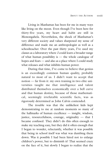Living in Manhattan has been for me in many ways like living on the moon. Even though I've been here for thirty-five years, my heart and habit are still in Monongahela. Nevertheless, the shock of Manhattan's very different society and values sharpened my sense of difference and made me an anthropologist as well as a schoolteacher. Over the past thirty years, I've used my classes as a laboratory where *I* could learn a broader range of what human possibility is — the whole catalogue of hopes and fears — and also as a place where I could study what releases and what inhibits human power.

During that time, I've come to believe that genius is an exceedingly common human quality, probably natural to most of us. I didn't want to accept that notion — far from it: my own training in two elite universities taught me that intelligence and talent distributed themselves economically over a bell curve and that human destiny, because of those mathematical, seemingly irrefutable scientific facts, was as rigorously determined as John Calvin contended.

The trouble was that the unlikeliest kids kept demonstrating to me at random moments so many of the hallmarks of human excellence — insight, wisdom, justice, resourcefulness, courage, originality — that I became confused. They didn't do this often enough to make my teaching easy, but they did it often enough that I began to wonder, reluctantly, whether it was possible that being in school itself was what was dumbing them down. Was it possible I had been hired not to enlarge children's power, but to diminish it? That seemed crazy on the face of it, but slowly I began to realize that the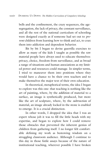bells and the confinement, the crazy sequences, the agesegregation, the lack of privacy, the constant surveillance, and all the rest of the national curriculum of schooling were designed exactly as if someone had set out to *prevent* children from learning how to think and act, to coax them into addiction and dependent behavior.

Bit by bit I began to devise guerrilla exercises to allow as many of the kids I taught as possible the raw material people have always used to educate themselves: privacy, choice, freedom from surveillance, and as broad a range of situations and human associations as my limited power and resources could manage. In simpler terms, I tried to maneuver them into positions where they would have a chance to be their own teachers and to make themselves the major text of their own education.

In theoretical, metaphorical terms, the idea I began to explore was this one: that teaching is nothing like the art of painting, where, by the *addition* of material to a surface, an image is synthetically produced, but more like the art of sculpture, where, by the *subtraction* of material, an image already locked in the stone is enabled to emerge. It is a crucial distinction.

In other words, I dropped the idea that I was an expert whose job it was to fill the little heads with my expertise, and began to explore how I could remove those obstacles that prevented the inherent genius of children from gathering itself. I no longer felt comfortable defining my work as bestowing wisdom on a struggling classroom audience. Although I continue to this day in those futile assays because of the nature of institutional teaching, wherever possible I have broken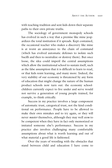with teaching tradition and sent kids down their separate paths to their own private truths.

The sociology of government monopoly schools has evolved in such a way that a premise like mine jeopardizes the total institution if it spreads. Kept contained, the occasional teacher who makes a discovery like mine is at worst an annoyance to the chain of command (which has evolved automatic defenses to isolate such bacilli and then to neutralize or destroy them). But once loose, the idea could imperil the central assumptions which allow the institutional school to sustain itself, such as the false assumption that it is difficult to learn to read, or that kids resist learning, and many more. Indeed, the very stability of our economy is threatened by any form of education that might change the nature of the human product schools now turn out: the economy schoolchildren currently expect to live under and serve would not survive a generation of young people trained, for example, to think critically.

Success in my practice involves a large component of automatic trust, categorical trust, not the kind conditional on performance. People have to be allowed to make their own mistakes and to try again, or they will never *master* themselves, although they may well *seem* to be competent when they have in fact only memorized or imitated someone else's performance. Success in my practice also involves challenging many comfortable assumptions about what is worth learning and out of what material a good life is fashioned.

Over the years of wrestling with the obstacles that stand between child and education I have come to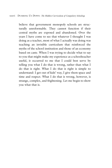#### xxxvi DUMBING US DOWN: *The Hidden Curriculum of Compulsory Schooling*

believe that government monopoly schools are structurally unreformable. They cannot function if their central myths are exposed and abandoned. Over the years I have come to see that whatever I thought I was doing as a teacher, most of what I actually was doing was teaching an invisible curriculum that reinforced the myths of the school institution and those of an economy based on caste. When I was trying to decide what to say to you that might make my experience as a schoolteacher useful, it occurred to me that I could best serve by telling you what I do that is wrong, rather than what I do that is right. What I do that is right is simple to understand: I get out of kids' way, I give them space and time and respect. What I do that is wrong, however, is strange, complex, and frightening. Let me begin to show you what that is.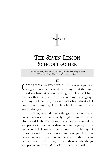

# **THE SEVEN-LESSON SCHOOLTEACHER**

*This speech was given on the occasion of the author being named "New York State Teacher of the Year" for 1991.*

### **II**

CALL ME MR. GATTO, PLEASE. Thirty years ago, having nothing better to do with myself at the time, I tried my hand at schoolteaching. The license I have certifies that I am an instructor of English language and English literature, but that isn't what I do at all. I don't teach English; I teach school — and I win awards doing it.

Teaching means different things in different places, but seven lessons are universally taught from Harlem to Hollywood Hills. They constitute a national curriculum you pay for in more ways than you can imagine, so you might as well know what it is. You are at liberty, of course, to regard these lessons any way you like, but believe me when I say I intend no irony in this presentation. These are the things I teach; these are the things you pay me to teach. Make of them what you will.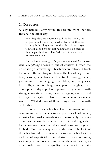#### **1. CONFUSION**

A lady named Kathy wrote this to me from Dubois, Indiana, the other day:

What big ideas are important to little kids? Well, the biggest idea I think they need is that what they are learning isn't idiosyncratic — that there is some system to it all and it's not just raining down on them as they helplessly absorb. That's the task, to understand, to make coherent.

Kathy has it wrong. *The first lesson I teach is confusion*. *Everything* I teach is out of context. I teach the un-relating of everything. I teach disconnections. I teach too much: the orbiting of planets, the law of large numbers, slavery, adjectives, architectural drawing, dance, gymnasium, choral singing, assemblies, surprise guests, fire drills, computer languages, parents' nights, staffdevelopment days, pull-out programs, guidance with strangers my students may never see again, standardized tests, age-segregation unlike anything seen in the outside world ... What do any of these things have to do with each other?

Even in the best schools a close examination of curriculum and its sequences turns up a lack of coherence, a host of internal contradictions. Fortunately the children have no words to define the panic and anger they feel at *constant violations of natural order and sequence* fobbed off on them as quality in education. The logic of the school-mind is that it is better to leave school with a tool kit of superficial jargon derived from economics, sociology, natural science, and so on than with one genuine enthusiasm. But quality in education entails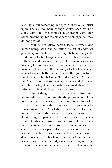learning about something in depth. Confusion is thrust upon kids by too many strange adults, each working alone with only the thinnest relationship with each other, pretending, for the most part, to an expertise they do not possess.

Meaning, not disconnected facts, is what sane human beings seek, and education is a set of codes for processing raw data into meaning. Behind the patchwork quilt of school sequences and the school obsession with facts and theories, the age-old human search for meaning lies well concealed. This is harder to see in elementary school where the hierarchy of school experience seems to make better sense because the good-natured simple relationship between "let's do this" and "let's do that" is just assumed to mean something and the clientele has not yet consciously discerned how little substance is behind the play and pretense.

Think of the great natural sequences — like learning to walk and learning to talk; the progression of light from sunrise to sunset; the ancient procedures of a farmer, a smithy, or a shoemaker; or the preparation of a Thanksgiving feast. All of the parts are in perfect harmony with each other, each action justifying itself and illuminating the past and the future. School sequences aren't like that, not inside a single class and not among the total menu of daily classes. School sequences are crazy. There is no particular reason for any of them, nothing that bears close scrutiny. Few teachers would dare to teach the tools whereby dogmas of a school or a teacher could be criticized, since everything must be accepted. School subjects are learned, if they *can* be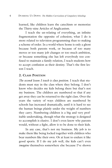learned, like children learn the catechism or memorize the Thirty-nine Articles of Anglicanism.

I teach the un-relating of everything, an infinite fragmentation the opposite of cohesion; what I do is more related to television programming than to making a scheme of order. In a world where home is only a ghost because both parents work, or because of too many moves or too many job changes or too much ambition, or because something else has left everybody too confused to maintain a family relation, I teach students how to accept confusion as their destiny. That's the first lesson I teach.

## **2. CLASS POSITION**

*The second lesson I teach is class position*. I teach that students must stay in the class where they belong. I don't know who decides my kids belong there but that's not my business. The children are numbered so that if any get away they can be returned to the right class. Over the years the variety of ways children are numbered by schools has increased dramatically, until it is hard to see the human beings plainly under the weight of numbers they carry. Numbering children is a big and very profitable undertaking, though what the strategy is designed to accomplish is elusive. I don't even know why parents would, without a fight, allow it to be done to their kids.

In any case, that's not my business. My job is to make them like being locked together with children who bear numbers like their own. Or at least to endure it like good sports. If I do my job well, the kids can't even *imagine* themselves somewhere else because I've shown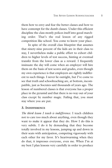them how to envy and fear the better classes and how to have contempt for the dumb classes. Under this efficient discipline the class mostly polices itself into good marching order. That's the real lesson of any rigged competition like school. You come to know your place.

In spite of the overall class blueprint that assumes that ninety-nine percent of the kids are in their class to stay, I nevertheless make a public effort to exhort children to higher levels of test success, hinting at eventual transfer from the lower class as a reward. I frequently insinuate the day will come when an employer will hire them on the basis of test scores and grades, even though my own experience is that employers are rightly indifferent to such things. I never lie outright, but I've come to see that truth and schoolteaching are, at bottom, incompatible, just as Socrates said thousands of years ago. The lesson of numbered classes is that everyone has a proper place in the pyramid and that there is no way out of your class except by number magic. Failing that, you must stay where you are put.

### **3. INDIFFERENCE**

*The third lesson I teach is indifference.* I teach children not to care too much about anything, even though they want to make it appear that they do. How I do this is very subtle. I do it by demanding that they become totally involved in my lessons, jumping up and down in their seats with anticipation, competing vigorously with each other for my favor. It's heartwarming when they do that; it impresses everyone, even me. When I'm at my best I plan lessons very carefully in order to produce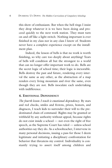this show of enthusiasm. But when the bell rings I insist they drop whatever it is we have been doing and proceed quickly to the next work station. They must turn on and off like a light switch. Nothing important is ever finished in my class nor in any class I know of. Students never have a complete experience except on the installment plan.

Indeed, the lesson of bells is that no work is worth finishing, so why care too deeply about anything? Years of bells will condition all but the strongest to a world that can no longer offer important work to do. Bells are the secret logic of school time; their logic is inexorable. Bells destroy the past and future, rendering every interval the same as any other, as the abstraction of a map renders every living mountain and river the same, even though they are not. Bells inoculate each undertaking with indifference.

## **4. EMOTIONAL DEPENDENCY**

*The fourth lesson I teach is emotional dependency*. By stars and red checks, smiles and frowns, prizes, honors, and disgraces, I teach kids to surrender their will to the predestinated chain of command. Rights may be granted or withheld by any authority without appeal, because rights do not exist inside a school — not even the right of free speech, as the Supreme Court has ruled — unless school authorities say they do. As a schoolteacher, I intervene in many personal decisions, issuing a pass for those I deem legitimate and initiating a disciplinary confrontation for behavior that threatens my control. Individuality is constantly trying to assert itself among children and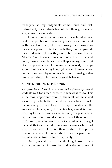teenagers, so my judgments come thick and fast. Individuality is a contradiction of class theory, a curse to all systems of classification.

Here are some common ways in which individuality shows up: children sneak away for a private moment in the toilet on the pretext of moving their bowels, or they steal a private instant in the hallway on the grounds they need water. I know they don't, but I allow them to "deceive" me because this conditions them to depend on my favors. Sometimes free will appears right in front of me in pockets of children angry, depressed, or happy about things outside my ken; rights in such matters cannot be recognized by schoolteachers, only privileges that can be withdrawn, hostages to good behavior.

### **5. INTELLECTUAL DEPENDENCY**

*The fifth lesson I teach is intellectual dependency*. Good students wait for a teacher to tell them what to do. This is the most important lesson of them all: we must wait for other people, better trained than ourselves, to make the meanings of our lives. The expert makes all the important choices; only I, the teacher, can determine what my kids must study, or rather, only the people who pay me can make those decisions, which I then enforce. If I'm told that evolution is a fact instead of a theory, I transmit that as ordered, punishing deviants who resist what I have been told to tell them to think. This power to control what children will think lets me separate successful students from failures very easily.

*Successful* children do the thinking I assign them with a minimum of resistance and a decent show of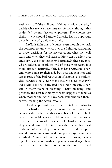enthusiasm. Of the millions of things of value to study, I decide what few we have time for. Actually, though, this is decided by my faceless employers. The choices are theirs — why should I argue? Curiosity has no important place in my work, only conformity.

*Bad* kids fight this, of course, even though they lack the concepts to know what they are fighting, struggling to make decisions for themselves about what they will learn and when they will learn it. How can we allow that and survive as schoolteachers? Fortunately there are tested procedures to break the will of those who resist; it is more difficult, naturally, if the kids have respectable parents who come to their aid, but that happens less and less in spite of the bad reputation of schools. No middleclass parents I have ever met actually believe that *their* kid's school is one of the bad ones. Not one single parent in many years of teaching. That's amazing, and probably the best testimony to what happens to families when mother and father have been well-schooled themselves, learning the seven lessons.

Good people wait for an expert to tell them what to do. It is hardly an exaggeration to say that our entire economy depends upon this lesson being learned. Think of what might fall apart if children weren't trained to be dependent: the social services could hardly survive they would vanish, I think, into the recent historical limbo out of which they arose. Counselors and therapists would look on in horror as the supply of psychic invalids vanished. Commercial entertainment of all sorts, including television, would wither as people learned again how to make their own fun. Restaurants, the prepared food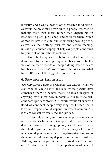industry, and a whole host of other assorted food services would be drastically down-sized if people returned to making their own meals rather than depending on strangers to plant, pick, chop, and cook for them. Much of modern law, medicine, and engineering would go too, as well as the clothing business and schoolteaching, unless a guaranteed supply of helpless people continued to pour out of our schools each year.

Don't be too quick to vote for radical school reform if you want to continue getting a paycheck. We've built a way of life that depends on people doing what they are told because they don't know how to tell *themselves* what to do. It's one of the biggest lessons I teach.

### **6. PROVISIONAL SELF-ESTEEM**

*The sixth lesson I teach is provisional self-esteem*. If you've ever tried to wrestle into line kids whose parents have convinced them to believe they'll be loved in spite of anything, you know how impossible it is to make selfconfident spirits conform. Our world wouldn't survive a flood of confident people very long, so I teach that a kid's self-respect should depend on expert opinion. My kids are constantly evaluated and judged.

A monthly report, impressive in its provision, is sent into a student's home to elicit approval or mark exactly, down to a single percentage point, how dissatisfied with the child a parent should be. The ecology of "good" schooling depends on perpetuating dissatisfaction, just as the commercial economy depends on the same fertilizer. Although some people might be surprised how little time or reflection goes into making up these mathematical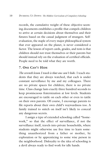records, the cumulative weight of these objective-seeming documents establishes a profile that compels children to arrive at certain decisions about themselves and their futures based on the casual judgment of strangers. Selfevaluation, the staple of every major philosophical system that ever appeared on the planet, is never considered a factor. The lesson of report cards, grades, and tests is that children should not trust themselves or their parents but should instead rely on the evaluation of certified officials. People need to be told what they are worth.

# **7. ONE CAN'T HIDE**

*The seventh lesson I teach is that one can't hide*. I teach students that they are always watched, that each is under constant surveillance by me and my colleagues. There are no private spaces for children; there is no private time. Class change lasts exactly three hundred seconds to keep promiscuous fraternization at low levels. Students are encouraged to tattle on each other or even to tattle on their own parents. Of course, I encourage parents to file reports about their own child's waywardness too. A family trained to snitch on itself isn't likely to conceal any dangerous secrets.

I assign a type of extended schooling called "homework," so that the effect of surveillance, if not the surveillance itself, travels into private households, where students might otherwise use free time to learn something unauthorized from a father or mother, by exploration or by apprenticing to some wise person in the neighborhood. Disloyalty to the idea of schooling is a devil always ready to find work for idle hands.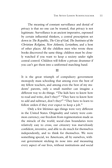The meaning of constant surveillance and denial of privacy is that no one can be trusted, that privacy is not legitimate. Surveillance is an ancient imperative, espoused by certain influential thinkers, a central prescription set down in *The Republic, The City of God, The Institutes of the Christian Religion, New Atlantis, Leviathan,* and a host of other places. All the childless men who wrote these books discovered the same thing: children must be closely watched if you want to keep a society under tight central control. Children will follow a private drummer if you can't get them into a uniformed marching band.

### **II**

It is the great triumph of compulsory government monopoly mass schooling that among even the best of my fellow teachers, and among even the best of my students' parents, only a small number can imagine a different way to do things. "The kids have to know how to read and write, don't they?" "They have to know how to add and subtract, don't they?" "They have to learn to follow orders if they ever expect to keep a job."

Only a few lifetimes ago things were very different in the United States. Originality and variety were common currency; our freedom from regimentation made us the miracle of the world; social-class boundaries were relatively easy to cross; our citizenry was marvelously confident, inventive, and able to do much for themselves independently, and to think for themselves. We were something special, we Americans, all by ourselves, without government sticking its nose into and measuring every aspect of our lives, without institutions and social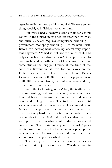agencies telling us how to think and feel. We were something special, as individuals, as Americans.

But we've had a society essentially under central control in the United States since just after the Civil War, and such a society requires compulsory schooling government monopoly schooling — to maintain itself. Before this development schooling wasn't very important anywhere. We had it, but not too much of it, and only as much as an individual *wanted*. People learned to read, write, and do arithmetic just fine anyway; there are some studies that suggest literacy at the time of the American Revolution, at least for non-slaves on the Eastern seaboard, was close to total. Thomas Paine's *Common Sense* sold 600,000 copies to a population of 3,000,000, of whom twenty percent were slaves and fifty percent indentured servants.

Were the Colonists geniuses? No, the truth is that reading, writing, and arithmetic only take about one hundred hours to transmit as long as the audience is eager and willing to learn. The trick is to wait until someone asks and then move fast while the mood is on. Millions of people teach themselves these things — it really isn't very hard. Pick up a fifth-grade math or rhetoric textbook from 1850 and you'll see that the texts were pitched then on what would today be considered college level. The continuing cry for "basic skills" practice is a smoke screen behind which schools preempt the time of children for twelve years and teach them the seven lessons I've just described to you.

The society that has come increasingly under central control since just before the Civil War shows itself in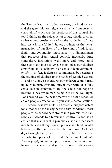the lives we lead, the clothes we wear, the food we eat, and the green highway signs we drive by from coast to coast, all of which are the products of this control. So too, I think, are the epidemics of drugs, suicide, divorce, violence, and cruelty, as well as the hardening of class into caste in the United States, products of the dehumanization of our lives, of the lessening of individual, family, and community importance — a diminishment that proceeds from central control. Inevitably, large compulsory institutions want more and more, until there isn't any more to give. School takes our children away from any possibility of an active role in community life  $-$  in fact, it destroys communities by relegating the training of children to the hands of certified experts — and by doing so it ensures our children cannot grow up fully human. Aristotle taught that without a fully active role in community life one could not hope to become a healthy human being. Surely he was right. Look around you the next time you are near a school or an old people's reservation if you wish a demonstration.

School, as it was built, is an essential support system for a model of social engineering that condemns most people to be subordinate stones in a pyramid that narrows as it ascends to a terminal of control. School is an artifice that makes such a pyramidical social order seem inevitable, even though such a premise is a fundamental betrayal of the American Revolution. From Colonial days through the period of the Republic we had no schools to speak of — read Benjamin Franklin's *Autobiography* for an example of a man who had no time to waste in school — and yet the promise of democracy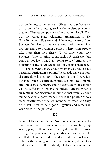was beginning to be realized. We turned our backs on this promise by bringing to life the ancient pharaonic dream of Egypt: compulsory subordination for all. That was the secret Plato reluctantly transmitted in *The Republic* when Glaucon and Adeimantus extort from Socrates the plan for total state control of human life, a plan necessary to maintain a society where some people take more than their share. "I will show you," says Socrates, "how to bring about such a feverish city, but you will not like what I am going to say." And so the blueprint of the seven-lesson school was first sketched.

The current debate about whether we should have a national curriculum is phony. We already have a national curriculum locked up in the seven lessons I have just outlined. Such a curriculum produces physical, moral, and intellectual paralysis, and no curriculum of content will be sufficient to reverse its hideous effects. What is currently under discussion in our national hysteria about failing academic performance misses the point. Schools teach exactly what they are intended to teach and they do it well: how to be a good Egyptian and remain in your place in the pyramid.

### **III**

None of this is inevitable. None of it is impossible to overthrow. We do have choices in how we bring up young people: there is no one right way. If we broke through the power of the pyramidical illusion we would see that. There is no life-and-death international competition threatening our national existence, difficult as that idea is even to think about, let alone believe, in the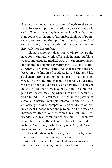face of a continual media barrage of myth to the contrary. In every important material respect our nation is self-sufficient, including in energy. I realize that idea runs counter to the most fashionable thinking of political economists, but the "profound transformation" of our economy these people talk about is neither inevitable nor irreversible.

Global economics does not speak to the public need for meaningful work, affordable housing, fulfilling education, adequate medical care, a clean environment, honest and accountable government, social and cultural renewal, or simple justice. All global ambitions are based on a definition of productivity and the good life so alienated from common human reality that I am convinced it is wrong and that most people would agree with me if they could perceive an alternative. We might be able to see that if we regained a hold on a philosophy that locates meaning where meaning is genuinely to be found — in families, in friends, in the passage of seasons, in nature, in simple ceremonies and rituals, in curiosity, generosity, compassion, and service to others, in a decent independence and privacy, in all the free and inexpensive things out of which real families, real friends, and real communities are built — then we would be so self-sufficient we would not even need the material "sufficiency" which our global "experts" are so insistent we be concerned about.

How did these awful places, these "schools," come about? Well, casual schooling has always been with us in a variety of forms, a mildly useful adjunct to growing up. But "modern schooling" as we now know it is a by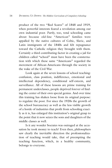product of the two "Red Scares" of 1848 and 1919, when powerful interests feared a revolution among our own industrial poor. Partly, too, total schooling came about because old-line "American" families were appalled by the native cultures of Celtic, Slavic, and Latin immigrants of the 1840s and felt repugnance toward the Catholic religion they brought with them. Certainly a third contributing factor in creating a jail for children called "school" must have been the consternation with which these same "Americans" regarded the movement of African-Americans through the society in the wake of the Civil War.

Look again at the seven lessons of school teaching: confusion, class position, indifference, emotional and intellectual dependency, conditional self-esteem, and surveillance. All of these lessons are prime training for permanent underclasses, people deprived forever of finding the center of their own special genius. And over time this training has shaken loose from its original purpose: to regulate the poor. For since the 1920s the growth of the school bureaucracy as well as the less visible growth of a horde of industries that profit from schooling exactly as it is, has enlarged this institution's original grasp to the point that it now seizes the sons and daughters of the middle classes as well.

Is it any wonder Socrates was outraged at the accusation he took money to teach? Even then, philosophers saw clearly the inevitable direction the professionalization of teaching would take, that of preempting the teaching function, which, in a healthy community, belongs to everyone.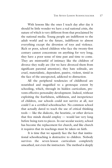With lessons like the ones I teach day after day it should be little wonder we have a real national crisis, the nature of which is very different from that proclaimed by the national media. Young people are indifferent to the adult world and to the future, indifferent to almost everything except the diversion of toys and violence. Rich or poor, school children who face the twenty-first century cannot concentrate on anything for very long; they have a poor sense of time past and time to come. They are mistrustful of intimacy like the children of divorce they really are (for we have divorced them from significant parental attention); they hate solitude, are cruel, materialistic, dependent, passive, violent, timid in the face of the unexpected, addicted to distraction.

All the peripheral tendencies of childhood are nourished and magnified to a grotesque extent by schooling, which, through its hidden curriculum, prevents effective personality development. Indeed, without exploiting the fearfulness, selfishness, and inexperience of children, our schools could not survive at all, nor could I as a certified schoolteacher. No common school that actually dared to teach the use of critical thinking tools — like the dialectic, the heuristic, or other devices that free minds should employ — would last very long before being torn to pieces. In our secular society, school has become the replacement for church, and like church it requires that its teachings must be taken on faith.

It is time that we squarely face the fact that institutional schoolteaching is destructive to children. Nobody survives the seven-lesson curriculum completely unscathed, not even the instructors. The method is deeply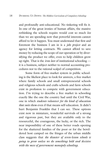and profoundly anti-educational. No tinkering will fix it. In one of the great ironies of human affairs, the massive rethinking the schools require would cost so much *less* than we are spending now that powerful interests cannot afford to let it happen. You must understand that first and foremost the business I am in is a *jobs project* and an agency for letting contracts. We cannot afford to save money by reducing the scope of our operation or by diversifying the product we offer, even to help children grow up right. That is the *iron law* of institutional schooling it is a business, subject neither to normal accounting procedures nor to the rational scalpel of competition.

Some form of free-market system in public schooling is the likeliest place to look for answers, a free market where family schools and small entrepreneurial schools and religious schools and crafts schools and farm schools exist in profusion to compete with government education. I'm trying to describe a free market in schooling exactly like the one the country had until the Civil War, one in which *students volunteer for the kind of education that suits them* even if that means self-education. It didn't hurt Benjamin Franklin that I can see. These options exist now in miniature, wonderful survivals of a strong and vigorous past, but they are available only to the resourceful, the courageous, the lucky, or the rich. The near impossibility of one of these better roads opening for the shattered families of the poor or for the bewildered host camped on the fringes of the urban middle class suggests that *the disaster of seven-lesson schools is going to grow unless we do something bold and decisive with the mess of government monopoly schooling*.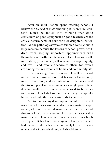After an adult lifetime spent teaching school, I believe the *method* of mass schooling is its only real content. Don't be fooled into thinking that good curriculum or good equipment or good teachers are the critical determinants of your son's or daughter's education. All the pathologies we've considered come about in large measure because the lessons of school prevent children from keeping important appointments with themselves and with their families to learn lessons in selfmotivation, perseverance, self-reliance, courage, dignity, and love — and lessons in service to others, too, which are among the key lessons of home and community life.

Thirty years ago these lessons could still be learned in the time left *after* school. But television has eaten up most of that time, and a combination of television and the stresses peculiar to two-income or single-parent families has swallowed up most of what used to be family time as well. Our kids have no time left to grow up fully human and only thin-soil wastelands to do it in.

A future is rushing down upon our culture that will insist that all of us learn the wisdom of nonmaterial experience; a future that will demand as the price of survival that we follow a path of natural life that is economical in material cost. These lessons cannot be learned in schools as they are. School is a twelve-year jail sentence where bad habits are the only curriculum truly learned. I teach school and win awards doing it. I should know.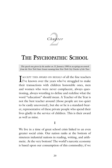hapt. *Chapter*

# **THE PSYCHOPATHIC SCHOOL**

*This speech was given by the author on 31 January 1990 in accepting an award from the New York State Senate naming him New York City Teacher of the Year.*

I ACCEPT THIS AWARD ON BEHALF of all the fine teachers<br>I've known over the years who've struggled to make ACCEPT THIS AWARD ON BEHALF of all the fine teachers their transactions with children honorable ones, men and women who were never complacent, always questioning, always wrestling to define and redefine what the word "education" should mean. A Teacher of the Year is not the best teacher around (those people are too quiet to be easily uncovered), but she or he is a standard-bearer, representative of these private people who spend their lives gladly in the service of children. This is their award as well as mine.

## **I**

We live in a time of great school crisis linked to an even greater social crisis. Our nation ranks at the bottom of nineteen industrial nations in reading, writing, and arithmetic. At the very bottom! The world's narcotic economy is based upon our consumption of this commodity; if we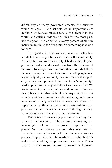didn't buy so many powdered dreams, the business would collapse — and schools are an important sales outlet. Our teenage suicide rate is the highest in the world, and suicidal kids are rich kids for the most part, not the poor. In Manhattan, seventy percent of all new marriages last less than five years. So something is wrong for sure.

This great crisis that we witness in our schools is interlinked with a greater social crisis in the community. We seem to have lost our identity. Children and old people are penned up and locked away from the business of the world to a degree without precedent: nobody talks to them anymore, and without children and old people mixing in daily life, a community has no future and no past, only a continuous present. In fact, the term "community" hardly applies to the way we interact with each other. We live in *networks*, not communities, and everyone I know is lonely because of that. School is a major actor in this tragedy, as it is a major actor in the widening gulf among social classes. Using school as a sorting mechanism, we appear to be on the way to creating a caste system, complete with untouchables who wander through subway trains begging and who sleep upon the streets.

I've noticed a fascinating phenomenon in my thirty years of teaching: schools and schooling are increasingly irrelevant to the great enterprises of the planet. No one believes anymore that scientists are trained in science classes or politicians in civics classes or poets in English classes. The truth is that schools don't really teach anything except how to obey orders. This is a great mystery to me because thousands of humane,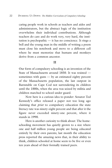caring people work in schools as teachers and aides and administrators, but the abstract logic of the institution overwhelms their individual contributions. Although teachers do care and do work very, very hard, the institution is psychopathic — it has no conscience. It rings a bell and the young man in the middle of writing a poem must close his notebook and move to a different cell where he must memorize that humans and monkeys derive from a common ancestor.

## **II**

Our form of compulsory schooling is an invention of the State of Massachusetts around 1850. It was resisted sometimes with guns — by an estimated eighty percent of the Massachusetts population, the last outpost in Barnstable on Cape Cod not surrendering its children until the 1880s, when the area was seized by militia and children marched to school under guard.

Now here is a curious idea to ponder: Senator Ted Kennedy's office released a paper not too long ago claiming that *prior* to compulsory education the state literacy rate was ninety-eight percent and that after it the figure never exceeded ninety-one percent, where it stands in 1990.

Here is another curiosity to think about: The homeschooling movement has quietly grown to a size where one and half million young people are being educated entirely by their own parents; last month the education press reported the amazing news that, in their ability to think, children schooled at home seem to be five or even ten years ahead of their formally trained peers.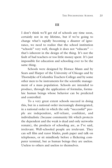### **III**

I don't think we'll get rid of schools any time soon, certainly not in my lifetime, but if we're going to change what's rapidly becoming a disaster of ignorance, we need to realize that the school institution "schools" very well, though it does not "educate" that's inherent in the design of the thing. It's not the fault of bad teachers or too little money spent. It's just impossible for education and schooling ever to be the same thing.

Schools were designed by Horace Mann and by Sears and Harper of the University of Chicago and by Thorndyke of Columbia Teachers College and by some other men to be instruments for the scientific management of a mass population. Schools are intended to produce, through the application of formulas, formulaic human beings whose behavior can be predicted and controlled.

To a very great extent schools succeed in doing this, but in a national order increasingly disintegrated, in a national order in which the only "successful" people are independent, self-reliant, confident, and individualistic (because community life which protects the dependent and the weak is dead and only networks remain), the products of schooling are, as I've said, irrelevant. Well-schooled people are irrelevant. They can sell film and razor blades, push paper and talk on telephones, or sit mindlessly before a flickering computer terminal, but as human beings they are useless. Useless to others and useless to themselves.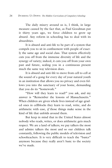The daily misery around us is, I think, in large measure caused by the fact that, as Paul Goodman put it thirty years ago, we force children to grow up absurd. Any reform in schooling has to deal with its absurdities.

It is absurd and anti-life to be part of a system that compels you to sit in confinement with people of exactly the same age and social class. That system effectively cuts you off from the immense diversity of life and the synergy of variety; indeed, it cuts you off from your own past and future, sealing you in a continuous present much the same way television does.

It is absurd and anti-life to move from cell to cell at the sound of a gong for every day of your natural youth in an institution that allows you no privacy and even follows you into the sanctuary of your home, demanding that you do its "homework."

"How will they learn to read?" you ask, and my answer is "Remember the lessons of Massachusetts." When children are given whole lives instead of age-graded ones in cellblocks they learn to read, write, and do arithmetic with ease, *if* those things make sense in the kind of life that unfolds around them.

But keep in mind that in the United States almost nobody who reads, writes, or does arithmetic gets much respect. We are a land of talkers; we pay talkers the most and admire talkers the most and so our children talk constantly, following the public models of television and schoolteachers. It is very difficult to teach the "basics" anymore because they really aren't basic to the society we've made.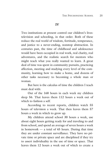### **IV**

Two institutions at present control our children's lives: television and schooling, in that order. Both of these reduce the real world of wisdom, fortitude, temperance, and justice to a never-ending, nonstop abstraction. In centuries past, the time of childhood and adolescence would have been occupied in real work, real charity, real adventures, and the realistic search for mentors who might teach what you really wanted to learn. A great deal of time was spent in community pursuits, practicing affection, meeting and studying every level of the community, learning how to make a home, and dozens of other tasks necessary to becoming a whole man or woman.

But here is the calculus of time the children I teach must deal with:

Out of the 168 hours in each week my children sleep 56. That leaves them 112 hours a week out of which to fashion a self.

According to recent reports, children watch 55 hours of television a week. That then leaves them 57 hours a week in which to grow up.

My children attend school 30 hours a week, use about eight hours getting ready for and traveling to and from school, and spend an average of seven hours a week in homework — a total of 45 hours. During that time they are under constant surveillance. They have no private time or private space and are disciplined if they try to assert individuality in the use of time or space. That leaves them 12 hours a week out of which to create a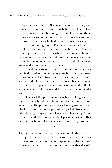unique consciousness. Of course my kids eat, too, and that takes some time — not much because they've lost the tradition of family dining — but if we allot three hours a week to evening meals, we arrive at a net amount of private time for each child of nine hours per week.

It's not enough, is it? The richer the kid, of course, the less television he or she watches, but the rich kid's time is just as narrowly prescribed by a somewhat broader catalogue of commercial entertainments and the inevitable assignment to a series of private lessons in areas seldom of his or her own choice.

But these activities are just a more cosmetic way to create dependent human beings, unable to fill their own hours, unable to initiate lines of meaning to give substance and pleasure to their existence. It's a national disease, this dependency and aimlessness, and I think schooling and television and lessons have a lot to do with it.

Think of the phenomena which are killing us as a nation: narcotic drugs, brainless competition, recreational sex, the pornography of violence, gambling, and alcohol — and the worst pornography of all: lives devoted to buying things, accumulation as a philosophy. All of these are addictions of dependent personalities, and this is what our brand of schooling must inevitably produce.

## **V**

I want to tell you what the effect on our children is of us taking all their time from them — time they need to grow up — and forcing them to spend it on abstractions. You need to hear this because any reform that doesn't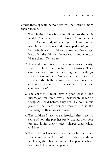attack these specific pathologies will be nothing more than a facade.

- 1. The children I teach are indifferent to the adult world. This defies the experience of thousands of years. A close study of what big people were up to was always the most exciting occupation of youth, but nobody wants children to grow up these days, least of all the children themselves — and who can blame them? *Toys are us.*
- 2. The children I teach have almost no curiosity, and what little they do have is transitory. They cannot concentrate for very long, even on things they choose to do. Can you see a connection between the bells ringing again and again to change classes and this phenomenon of evanescent attention?
- 3. The children I teach have a poor sense of the future, of how tomorrow is inextricably linked to today. As I said before, they live in a continuous present: the exact moment they are in is the boundary of their consciousness.
- 4. The children I teach are ahistorical: they have no sense of how the past has predestinated their own present, limits their choices, shapes their values and lives.
- 5. The children I teach are cruel to each other; they lack compassion for misfortune; they laugh at weakness; they have contempt for people whose need for help shows too plainly.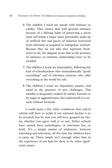- 6. The children I teach are uneasy with intimacy or candor. They cannot deal with genuine intimacy because of a lifelong habit of preserving a secret inner self inside a larger outer personality made up of artificial bits and pieces of behavior borrowed from television or acquired to manipulate teachers. Because they are not who they represent themselves to be, the disguise wears thin in the presence of intimacy; so intimate relationships have to be avoided.
- 7. The children I teach are materialistic, following the lead of schoolteachers who materialistically "grade everything" and of television mentors who offer everything in the world for sale.
- 8. The children I teach are dependent, passive, and timid in the presence of new challenges. This timidity is frequently masked by surface bravado or by anger or aggressiveness, but underneath is a vacuum without fortitude.

I could name a few other conditions that school reform will have to tackle if our national decline is to be arrested, but by now you will have grasped my thesis, whether you agree with it or not. Either schools have caused these pathologies, or television has, or both. It's a simple matter of arithmetic: between schooling and television, all the time the children have is eaten up. There simply isn't enough other time in the experience of our kids for there to be other significant causes.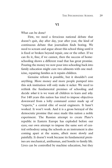### **VI**

What can be done?

First, we need a ferocious national debate that doesn't quit, day after day, year after year, the kind of continuous debate that journalism finds boring. We need to scream and argue about this school thing until it is fixed or broken beyond repair, one or the other. If we can fix it, fine; if we cannot, then the success of homeschooling shows a different road that has great promise. Pouring the money we now pour into schooling back into family education might cure two ailments with one medicine, repairing families as it repairs children.

Genuine reform is possible, but it shouldn't cost anything. More money and more people pumped into this sick institution will only make it sicker. We need to rethink the fundamental premises of schooling and decide *what* it is we want all children to learn and *why*. For 140 years this nation has tried to impose objectives downward from a lofty command center made up of "experts," a central elite of social engineers. It hasn't worked. It won't work. And it is a gross betrayal of the democratic promise that once made this nation a noble experiment. The Russian attempt to create Plato's republic in Eastern Europe has exploded before our eyes; our own attempt to impose the same sort of central orthodoxy using the schools as an instrument is also coming apart at the seams, albeit more slowly and painfully. It doesn't work because its fundamental premises are mechanical, antihuman, and hostile to family life. Lives can be controlled by machine education, but they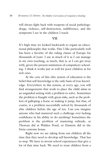will always fight back with weapons of social pathology: drugs, violence, self-destruction, indifference, and the symptoms I see in the children I teach.

### **VII**

It's high time we looked backwards to regain an educational philosophy that works. One I like particularly well has been a favorite of the ruling classes of Europe for thousands of years. I use as much of it as I can manage in my own teaching, as much, that is, as I can get away with, given the present institution of compulsory schooling. I think it works just as well for poor children as for rich ones.

At the core of this elite system of education is the belief that self-knowledge is the only basis of true knowledge. Everywhere in this system, at every age, you will find arrangements that work to place the child *alone* in an unguided setting with a problem to solve. Sometimes the problem is fraught with great risks, such as the problem of galloping a horse or making it jump, but that, of course, is a problem successfully solved by thousands of elite children before the age of ten. Can you imagine anyone who had mastered such a challenge ever lacking confidence in his ability to do anything? Sometimes the problem is the problem of mastering solitude, as Thoreau did at Walden Pond, or Einstein did in the Swiss customs house.

Right now we are taking from our children all the time that they need to develop self-knowledge. That has to stop. We have to invent school experiences that give a lot of that time back. We need to trust children from a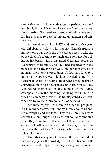very early age with independent study, perhaps arranged in school, but which takes place *away* from the institutional setting. We need to invent curricula where each kid has a chance to develop private uniqueness and selfreliance.

A short time ago I took \$70 and sent a twelve-yearold girl from my class, with her non-English-speaking mother, on a bus down the New Jersey coast to take the police chief of Seabright to lunch and apologize for polluting his beach with a discarded Gatorade bottle. In exchange for this public apology I had arranged with the police chief for the girl to have a one-day apprenticeship in small-town police procedures. A few days later two more of my twelve-year-old kids traveled alone from Harlem to West Thirty-first street where they began an apprenticeship with a newspaper editor; later three of my kids found themselves in the middle of the Jersey swamps at six in the morning, studying the mind of a trucking company president as he dispatched eighteenwheelers to Dallas, Chicago, and Los Angeles.

Are these "special" children in a "special" program? Well, in one sense yes, but nobody knows about this program except I and the kids. They're just nice kids from central Harlem, bright and alert, but so badly schooled when they came to me that most of them couldn't add or subtract with any fluency. And not a single one knew the population of New York City or how far New York is from California.

Does that worry me? Of course! But I am confident that as they gain self-knowledge they'll also become selfteachers — and only self-teaching has any lasting value.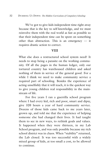We've got to give kids independent time right away because that is the key to self-knowledge, and we must reinvolve them with the real world as fast as possible so that their independent time can be spent on something other than abstraction. This is an emergency  $-$  it requires drastic action to correct.

### **VIII**

What else does a restructured school system need? It needs to stop being a parasite on the working community. Of all the pages in the human ledger, only our tortured country has warehoused children and asked nothing of them in service of the general good. For a while I think we need to make community service a required part of schooling. Besides the experience of acting unselfishly that it will teach, it is the quickest way to give young children real responsibility in the mainstream of life.

For five years I ran a guerrilla school program where I had every kid, rich and poor, smart and dipsy, give 320 hours a year of hard community service. Dozens of those kids came back to me years later, grown up, and told me that the experience of helping someone else had changed their lives. It had taught them to see in new ways, to rethink goals and values. It happened when they were thirteen, in my Lab School program, and was only possible because my rich school district was in chaos. When "stability" returned, the Lab closed. It was too successful with a widely mixed group of kids, at too small a cost, to be allowed to continue.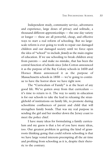Independent study, community service, adventures and experience, large doses of privacy and solitude, a thousand different apprenticeships — the one-day variety or longer — these are all powerful, cheap, and effective ways to start a real reform of schooling. But no largescale reform is ever going to work to repair our damaged children and our damaged society until we force open the idea of "school" to include *family* as the main engine of education. If we use schooling to break children away from parents — and make no mistake, that has been the central function of schools since John Cotton announced it as the purpose of the Bay Colony schools in 1650 and Horace Mann announced it as the purpose of Massachusetts schools in 1850 — we're going to continue to have the horror show we have right now.

The "Curriculum of Family" is at the heart of any good life. We've gotten away from that curriculum it's time to return to it. The way to sanity in education is for our schools to take the lead in releasing the stranglehold of institutions on family life, to promote during schooltime confluences of parent and child that will strengthen family bonds. That was my real purpose in sending the girl and her mother down the Jersey coast to meet the police chief.

I have many ideas for formulating a family curriculum and my guess is that a lot of you have many ideas, too. Our greatest problem in getting the kind of grassroots thinking going that could reform schooling is that we have large vested interests preempting all the air time and profiting from schooling as it is, despite their rhetoric to the contrary.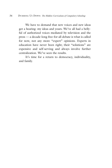We have to demand that new voices and new ideas get a hearing: my ideas and yours. We've all had a bellyful of authorized voices mediated by television and the press — a decade-long free-for-all debate is what is called for now, not any more "expert" opinions. Experts in education have never been right; their "solutions" are expensive and self-serving and always involve further centralization. We've seen the results.

It's time for a return to democracy, individuality, and family.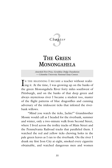hapt. *Chapter*

# **THE GREEN MONONGAHELA**

*Awarded First Prize, Geraldine Dodge Foundation — Columbia University National Essay Contest.*

IN THE BEGINNING I BECAME a teacher without realiz-<br>ing it. At the time, I was growing up on the banks of N THE BEGINNING I BECAME a teacher without realizthe green Monongahela River forty miles southwest of Pittsburgh, and on the banks of that deep green and always mysterious river I became a student too, master of the flight patterns of blue dragonflies and cunning adversary of the iridescent ticks that infested the riverbank willows.

"Mind you watch the ticks, Jackie!" Grandmother Mossie would call as I headed for the riverbank, summer and winter, only a two-minute walk from Second Street, where I lived across the trolley tracks of Main Street and the Pennsylvania Railroad tracks that paralleled them. I watched the red and yellow ticks chewing holes in the pale green leaves as I ran to the riverbank. On the river I drank my first Iron City at eight, smoked every cigarette obtainable, and watched dangerous men and women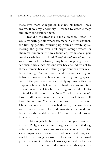make love there at night on blankets all before I was twelve. It was my laboratory: I learned to watch closely and draw conclusions there.

How did the river make me a teacher? Listen. It was alive with paddle-wheel steamers in center channel, the turning paddles churning up clouds of white spray, making the green river boil bright orange where its chemical undercurrent was troubled; from shore you could clearly hear the loud *thump thump thump* on the water. From all over town young boys ran gazing in awe. A dozen times a day. No one ever became indifferent to these steamers because nothing important can ever really be boring. You can see the difference, can't you, between those serious boats and the truly boring spacecraft of the past few decades, just flying junk without a purpose a boy can believe in? It's hard to feign an interest even now that I teach for a living and would like to pretend for the sake of the New York kids who won't have paddle-wheelers in their lives. The rockets are dull toys children in Manhattan put aside the day after Christmas, never to be touched again; the riverboats were serious magic, clearly demarcating the world of boys from the world of men. Lévi-Strauss would know how to explain.

In Monongahela by that river everyone was my teacher. Daily, it seemed to a boy, one of the mile-long trains would stop in town to take on water and coal, or for some mysterious reason; the brakeman and engineer would step among snot-nosed kids and spin railroad yarns, let us run in and out of boxcars, over and under flatcars, tank cars, coal cars, and numbers of other specialty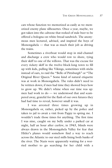cars whose function we memorized as easily as we memorized enemy plane silhouettes. Once a year, maybe, we got taken into the caboose that reeked of stale beer to be offered a bologna-on-white-bread sandwich. The anonymous men lectured, advised, and inspired the boys of Monongahela — that was as much their job as driving the trains.

Sometimes a riverboat would stop in mid-channel and discharge a crew who would row to shore, tying their skiff to one of the willows. That was the excuse for every rickety skiff in the twelve-block-long town to fill up with kids, pulling like Vikings, sometimes with sticks instead of oars, to raid the "Belle of Pittsburgh" or "The Original River Queen." Some kind of natural etiquette was at work in Monongahela. The rules didn't need to be written down; if men had time they showed boys how to grow up. We didn't whine when our time was up: men had work to do — we understood that and scampered away, grateful for the flash of our own futures they had had time to reveal, however small it was.

I was arrested three times growing up in Monongahela or, rather, picked up by the police and taken to jail to await a visit from Pappy to spring me. I wouldn't trade those times for anything. The first time I was nine, caught on my belly under a parked car at night, half an hour after curfew; in 1943, blinds were always drawn in the Monongahela Valley for fear that Hitler's planes would somehow find a way to reach across the Atlantic to our steel mills lining both banks of the river. The Nazis were apparently waiting for a worried mother to go searching for her child with a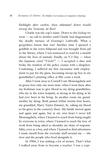flashlight after curfew, then *whammo!* down would swoop the Teutonic air fleet!

Charlie was the cop's name. Down to the lockup we went — no call to mother until Charlie had diagrammed the deadly menace of Goering's Luftwaffe. What a geopolitics lesson that was! Another time I speared a goldfish in the town fishpond and was brought from jail to the library, where I was sentenced to read for a month about the lives of animals. Finally, on V-J Day — when the Japanese cried "Uncle!" — I accepted a dare and broke the window of the police cruiser with a slingshot. Confessing, I suffered my first encounter with employment to pay for the glass, becoming sweep-up boy in my grandfather's printing office at fifty cents a week.

After I went away to Cornell I saw Monongahela and its green river only one more time: when I went there after my freshman year to give blood to my dying grandfather, who lay in the town hospital, as strong in his dying as he had ever been in his living. In another room my grandmother lay dying. Both passed within twenty-four hours, my granddad, Harry Taylor Zimmer, Sr., taking my blood to his grave in the cemetery there. My family moved again and again and again, but in my own heart I never left Monongahela, where I learned to teach from being taught by everyone in town, where I learned to teach the love of work from being asked to shoulder my share of responsibility, even as a boy, and where I learned to find adventures I made myself from the everyday stuff around me — the river and the people who lived alongside it.

In 1964, I was making a lot of money. That's what I walked away from to become a teacher. I was a copy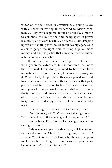writer on the fast track in advertising, a young fellow with a knack for writing thirty-second television commercials. My work required about one full day a month to complete, the rest of the time being spent in power breakfasts, after-work martinis at Michael's Pub, keeping up with the shifting fortunes of about twenty agencies in order to gauge the right time to jump ship for more money, and endless parties that always seemed to culminate in colossal headaches.

It bothered me that all the urgencies of the job were generated externally, but it bothered me more that the work I was doing seemed to have very little importance — even to the people who were paying for it. Worst of all, the problems this work posed were cut from such a narrow spectrum that it was clear that past, present, and future were to be of a piece: a twentynine-year-old man's work was no different from a thirty-nine-year-old man's work or a forty-nine-yearold man's work (though there didn't seem to be any forty-nine-year-old copywriters — I had no idea why not).

"I'm leaving," I said one day to the copy chief.

"Are you nuts, Jack? You'll get profit sharing this year. We can match any offer you've got. Leaving for who?"

"For nobody, Dan. I mean I'm going to teach junior high school."

"When you see your mother next, tell her for me she raised a moron. Christ! Are you going to be sorry! In New York City we don't have schools; we have pens for lost souls. Teaching is a scam, a welfare project for losers who can't do anything else!"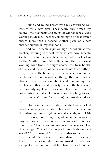Round and round I went with my advertising colleagues for a few days. Their scorn only firmed my resolve; the riverboats and trains of Monongahela were working inside me. I needed something to do that wasn't absurd more than I needed another party or a new abstract number in my bankbook.

And so I became a junior high school substitute teacher, working the beat from what's now Lincoln Center to Columbia, my alma mater, and from Harlem to the South Bronx. After three months the dismal working conditions, the ugly rooms, the torn books, the repeated instances of petty complaints from authorities, the bells, the buzzers, the drab teacher food in the cafeterias, the unpressed clothing, the inexplicable absence of conversation about children among the teachers (to this day, after thirty years in the business, I can honestly say I have *never once* heard an extended conversation about children or about teaching theory in any teachers' room I've been in) had just about done me in.

In fact, on the very first day I taught I was attacked by a boy waving a chair above his head. It happened in the infamous junior high school Wadleigh, on 113th Street. I was given the eighth grade typing class — seventy-five students and typewriters — with this one injunction: "Under no circumstances are you to allow them to type. You lack the proper license. Is that understood?" A man named Mr. Bash said that to me.

It couldn't have taken more than sixty seconds from the time I closed the door and issued the order not to type for one hundred and fifty hands to snake under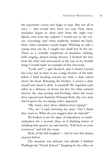the typewriter covers and begin to type. But not all at once — that would have been too easy. First, three machines began to *clack clack* from the right rear. Quick, who were the culprits? I would race to the corner, screaming *stop!* when suddenly, behind my back, three other machines would begin! Whirling as only a young man can do, I caught one small boy in the act. Then, to a veritable symphony of machines clicking, bells ringing, platens being thrown, I hoisted the boy from his chair and announced at the top of my foolish lungs I would make an example of this miscreant.

"Look out!" a girl shouted, and I turned toward her voice just in time to see a large brother of the little fellow I held heading toward me with a chair raised above his head. Releasing his brother, I seized a chair myself and raised it aloft. A standoff! We regarded each other at a distance of about ten feet for what seemed forever, the class jeering and howling, when the room door opened and Assistant Principal Bash, the very man who'd given the no-typing order, appeared.

"Mr. Gatto, have these children been typing?"

"No, sir," I said, lowering my chair, "but I think they want to. What do you suggest they do instead?"

He looked at me for signs of impudence or insubordination for a second, then, as if thinking better of rebuking this upstart, he said merely, "Fall back on your resources," and left the room.

Most of the kids laughed — they'd seen this drama enacted before.

The situation was defused, but silently I dubbed Wadleigh the "Death School." Stopping by the office on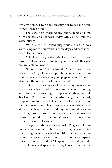my way home, I told the secretary not to call me again if they needed a sub.

The very next morning my phone rang at 6:30. "Are you available for work today, Mr. Gatto?" said the voice briskly.

"Who is this?" I asked suspiciously. (Ten schools were using me for sub work in those days, and each identified itself at once.)

"The law clearly states, Mr. Gatto, that we do not have to tell you who we are until you tell us whether you are available for work."

"Never mind," I bellowed, "there's only one school who'd pull such crap! The answer is *no!* I am never available to work in your pigpen school!" And I slammed the receiver back onto its cradle.

But the truth was none of the sub assignments were boat rides: schools had an uncanny habit of exploiting substitutes and providing no support for their survival. It's likely I'd have returned to advertising if a little girl, desperate to free herself from an intolerable situation, hadn't drawn me into her personal school nightmare and shown me how I could find my own significance in teaching, just as those strong men in the riverboats and trains had found their own significance, a currency all of us need for our self-esteem.

It happened this way. Occasionally I'd get a call from an elementary school. This particular day it was a third grade assignment at a school on 107th Street, which in those days was nearly one hundred percent non-Hispanic in its teaching staff and 99% Hispanic in its student body.

Like many desperate teachers, I lolled most of the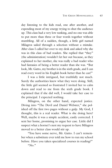day listening to the kids read, one after another, and expending most of my energy trying to shut the audience up. This class had a very low ranking, and no one was able to put more than three or four words together without stumbling. All of a sudden, though, a little girl named Milagros sailed through a selection without a mistake. After class I called her over to my desk and asked why she was in this class of bad readers. She replied that "they" (the administration) wouldn't let her out because, as they explained to her mother, she was really a bad reader who had fantasies of being a better reader than she was. "But look, Mr. Gatto, my brother is in the sixth grade, and I can read every word in his English book better than he can!"

I was a little intrigued, but truthfully not much. Surely the authorities knew what they were doing. Still, the little girl seemed so frustrated I invited her to calm down and read to me from the sixth grade book. I explained that if she did well, I would take her case to the principal. I expected nothing.

Milagros, on the other hand, expected justice. Diving into "The Devil and Daniel Webster," she polished off the first two pages without a gulp. My God, I thought, this is a real reader. What is she doing here? Well, maybe it was a simple accident, easily corrected. I sent her home, promising to argue her case. Little did I suspect what a hornet's nest my request to have Milagros moved to a better class would stir up.

"You have some nerve, Mr. Gatto. I can't remember when a substitute ever told me how to run my school before. Have you taken specialized courses in reading?"

"No."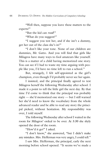"Well then, suppose you leave these matters to the experts!"

"But the kid can *read*!"

"What do you suggest?"

"I suggest you test her, and if she isn't a dummy, get her out of the class she's in!"

"I don't like your tone. None of our children are dummies, Mr. Gatto. And you will find that girls like Milagros have many ways to fool amateurs like yourself. This is a matter of a child having memorized one story. You can see if I had to waste my time arguing with people like you, I'd have no time left to run a school."

But, strangely, I felt self-appointed as the girl's champion, even though I'd probably never see her again.

I insisted, and the principal finally agreed to test Milagros herself the following Wednesday after school. I made it a point to tell the little girl the next day. By that time I'd come to think that the principal was probably right — she'd memorized one story — but I still warned her she'd need to know the vocabulary from the whole advanced reader and be able to read any story the principal picked, without hesitation. My responsibility was over, I told myself.

The following Wednesday after school I waited in the room for Milagros' ordeal to be over. At 3:30 she shyly opened the door of the room.

"How'd it go?" I asked.

"I don't know," she answered, "but I didn't make any mistakes. Mrs. Hefferman was very angry, I could tell."

I saw Mrs. Hefferman, the principal, early the next morning before school opened. "It seems we've made a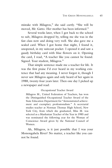mistake with Milagros," she said curtly. "She will be moved, Mr. Gatto. Her mother has been informed."

Several weeks later, when I got back to the school to sub, Milagros dropped by, telling me she was in the fast class now and doing very well. She also gave me a sealed card. When I got home that night, I found it, unopened, in my suitcoat pocket. I opened it and saw a gaudy birthday card with blue flowers on it. Opening the card, I read, "A teacher like you cannot be found. Signed. Your student, Milagros."

That simple sentence made me a teacher for life. It was the first praise I'd ever heard in my working existence that had any meaning. I never forgot it, though I never saw Milagros again and only heard of her again in 1988, twenty-four years later. Then one day I picked up a newspaper and read:

#### Occupational Teacher Award

Milagros M., United Federation of Teachers, has won the Distinguished Occupational Teacher Award of the State Education Department for "demonstrated achievement and exemplary professionalism." A secretarial studies teacher at Norman Thomas High School, New York City, from which she graduated, Miss M. was selected as a Manhattan Teacher of the Year in 1985 and was nominated the following year for the Woman of Conscience Award given by the National Council of Women.

Ah, Milagros, is it just possible that I was your Monongahela River? No matter, a teacher like you cannot be found.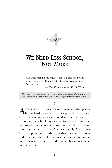hapt. *Chapter*

# **WE NEED LESS SCHOOL, NOT MORE**

"We were making the future," he said, and hardly any of us troubled to think what future we were making. And here it is!

— *The Sleeper Awakes*, H. G. Wells

*This essay — a personal favorite — was written especially for the first edition, and presented many times as a public speech before the book was published.*

#### **I**

A SURPRISING NUMBER OF otherwise sensible people<br>
find it hard to see why the scope and reach of our formal schooling networks should not be increased (by extending the school day or year, for instance) in order to provide an economical solution to the problems posed by the decay of the American family. One reason for their preference, I think, is that they have trouble understanding the real difference between communities and networks, or even the difference between families and networks.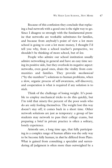Because of this confusion they conclude that replacing a bad network with a good one is the right way to go. Since I disagree so strongly with the fundamental premise that networks are workable substitutes for families, and because from anybody's point of view a lot more school is going to cost a lot more money, I thought I'd tell you why, from a school teacher's perspective, we shouldn't be thinking of more school, but of *less*.

People who admire our school institution usually admire networking in general and have an easy time seeing its positive side, but they overlook its negative aspect: networks, even good ones, drain the vitality from communities and families. They provide *mechanical* ("by-the-numbers") solutions to human problems, when a slow, organic process of self-awareness, self-discovery, and cooperation is what is required if any solution is to stick.

Think of the challenge of losing weight. It's possible to employ mechanical tricks to do this quickly, but I'm told that ninety-five percent of the poor souls who do are only fooling themselves. The weight lost this way doesn't stay off; it comes back in a short time. Other network solutions are just as temporary: a group of law students may network to pass their college exams, but preparing a brief in private practice is often a solitary, lonely experience.

Aristotle saw, a long time ago, that fully participating in a complex range of human affairs was the only way to be become fully human; in *that* he differed from Plato. What is gained from consulting a specialist and surrendering all judgment is often more than outweighed by a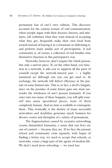permanent loss of one's own volition. This discovery accounts for the curious texture of *real* communication, where people argue with their doctors, lawyers, and ministers, tell craftsmen what they want instead of accepting what they get, frequently make their own food from scratch instead of buying it in a restaurant or defrosting it, and perform many similar acts of *participation*. A real community is, of course, a collection of real families who themselves function in this participatory way.

Networks, however, don't require the whole person, but only a narrow piece. If, on the other hand, you function in a network, it asks you to suppress all the parts of yourself except the network-interest part — a highly unnatural act although one you can get used to. In exchange, the network will deliver efficiency in the pursuit of some limited aim. This is, in fact, a devil's bargain, since on the promise of some future gain one must surrender the wholeness of one's present humanity. If you enter into too many of these bargains, you will split yourself into many specialized pieces, none of them completely human. And no time is available to reintegrate them. This, ironically, is the destiny of many successful networkers and doubtless generates much business for divorce courts and therapists of a variety of persuasions.

The fragmentation caused by excessive networking creates diminished humanity, a sense that our lives are out of control — because they are. If we face the present school and community crisis squarely, with hopes of finding a better way, we need to accept that schools, as networks, create a large part of the agony of modem life. We don't need more schooling — we need less.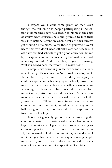I expect you'll want some proof of that, even though the million or so people participating in education at home these days have begun to nibble at the edge of everybody's consciousness and promise to bite their way into national attention when details of their success get around a little more. So for those of you who haven't heard that you don't need officially certified teachers in officially certified schools to get a good education, let me try to expose some of the machinery that makes certified schooling so bad. And remember, if you're thinking, "but it's *always* been that way" — it really hasn't.

Compulsory schooling in factory schools is a very recent, very Massachusetts/New York development. Remember, too, that until thirty odd years ago you could escape mass schooling *after* school; now it is much harder to escape because another form of mass schooling — television — has spread all over the place to blot up any attention spared by school. So what was merely grotesque in our national treatment of the young before 1960 has become tragic now that mass commercial entertainment, as addictive as any other hallucinogenic drug, has blocked the escape routes from mass schooling.

It is a fact generally ignored when considering the communal nature of institutional families like schools, large corporations, colleges, armies, hospitals, and government agencies that they are not real communities at all, but networks. Unlike communities, networks, as I reminded you, have a very narrow way of allowing people to associate, and that way is always across a short spectrum of one, or at most a few, specific uniformities.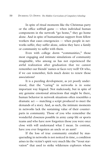In spite of ritual moments like the Christmas party or the office softball game — when individual human components in the network "go home," they go home alone. And in spite of humanitarian support from fellow workers that eases emergencies — when people in networks suffer, they suffer alone, unless they have a family or community to suffer with them.

Even with college dorm "communities," those most engaging and intimate simulations of community imaginable, who among us has not experienced the awful realization after graduation that we cannot remember our friends' names or faces very well? Or who, if we can remember, feels much desire to renew those associations?

It is a puzzling development, as yet poorly understood, that the "caring" in networks is in some important way feigned. Not maliciously, but in spite of any genuine emotional attractions that might be there, human behavior in network situations often resembles a dramatic act — matching a script produced to meet the demands of a story. And, as such, the intimate moments in networks lack the sustaining value of their counterparts in community. Those of you who remember the wonderful closeness possible in army camp life or sports teams and who have now forgotten those you were once close with will understand what I mean. In contrast, have you ever forgotten an uncle or an aunt?

If the loss of true community entailed by masquerading in networks is not noticed in time, a condition arises in the victim's spirit very much like the "trout starvation" that used to strike wilderness explorers whose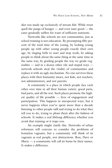diet was made up exclusively of stream fish. While trout quell the pangs of hunger — and even taste good — the eater gradually suffers for want of sufficient nutrients.

Networks like schools are not communities, just as school training is not education. By preempting fifty percent of the total time of the young, by locking young people up with other young people exactly their own age, by ringing bells to start and stop work, by asking people to think about the same thing at the same time in the same way, by grading people the way we grade vegetables — and in a dozen other vile and stupid ways network schools steal the vitality of communities and replace it with an ugly mechanism. No one survives these places with their humanity intact, not kids, not teachers, not administrators, and not parents.

A community is a place in which people face each other over time in *all* their human variety: good parts, bad parts, and all the rest. Such places promote the highest quality of life possible — lives of engagement and participation. This happens in unexpected ways, but it never happens when you've spent more than a decade listening to other people *talk* and trying to do what they tell you to do, trying to *please* them after the fashion of schools. It makes a real lifelong difference whether you avoid that training or it traps you.

An example might clarify this. Networks of urban reformers will convene to consider the problems of homeless vagrants, but a community will think of its vagrants as real people, not abstractions. Ron, Dave or Marty  $-$  a community will call its bums by their names. It makes a difference.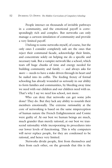People interact on thousands of invisible pathways in a community, and the emotional payoff is correspondingly rich and complex. But networks can only manage a cartoon simulation of community and provide a very limited payoff.

I belong to some networks myself, of course, but the only ones I consider completely safe are the ones that reject their communal facade, acknowledge their limits, and concentrate solely on helping me do a specific and necessary task. But a vampire network like a school, which tears off huge chunks of time and energy needed for building community and family — and always asks for *more* — needs to have a stake driven through its heart and be nailed into its coffin. The feeding frenzy of formal schooling has already wounded us seriously in our ability to form families and communities, by bleeding away time we need with our children and our children need with us. That's why I say we need less school, not more.

Who can deny that networks can get some jobs done? They do. But they lack any ability to nourish their members emotionally. The extreme *rationalit*y at the core of networking is based on the same misperception of human nature the French Enlightenment and Comte were guilty of. At our best we human beings are much, much grander than merely rational; at our best we transcend rationality while incorporating its procedures into our lower levels of functioning. This is why computers will never replace people, for they are condensed to be rational, and hence very limited.

Networks divide people, first from themselves and then from each other, on the grounds that this is the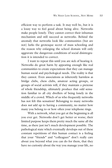efficient way to perform a task. It may well be, but it is a lousy way to feel good about being alive. Networks make people lonely. They cannot correct their inhuman mechanism and still succeed as networks. Behind the anomaly that networks look like communities (but are not) lurks the grotesque secret of mass schooling and the reason why enlarging the school domain will only aggravate the dangerous conditions of social disintegration it is intended to correct.

I want to repeat this until you are sick of hearing it. Networks do great harm by appearing enough like real communities to create expectations that they can manage human social and psychological needs. The reality is that they cannot. Even associations as inherently harmless as bridge clubs, chess clubs, amateur acting groups, or groups of social activists will, if they maintain a pretense of whole friendship, ultimately produce that odd sensation familiar to all city dwellers of being lonely in the middle of a crowd. Which of us who frequently networks has not felt this sensation? Belonging to many networks does *not* add up to having a community, no matter how many you belong to or how often your telephone rings.

With a network, what you get at the beginning is all you ever get. Networks don't get better or worse; their limited purpose keeps them pretty much the same all the time, as there just isn't much development possible. The pathological state which eventually develops out of these constant repetitions of thin human contact is a feeling that your "friends" and "colleagues" don't really care about you beyond what you can do for them, that they have no curiosity about the way you manage your life, no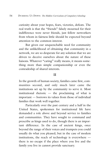curiosity about your hopes, fears, victories, defeats. The real truth is that the "friends" falsely mourned for their indifference were never friends, just fellow networkers from whom in fairness little should be expected beyond attention to the common interest.

But given our unquenchable need for community and the unlikelihood of obtaining that community in a network, we are so desperate for any solution that we are driven to deceive ourselves about the nature of these liaisons. Whatever "caring" really means, it means something more than simple companionship or even the comradeship of shared interests.

## **II**

In the growth of human society, families came first, communities second, and only much later came the institutions set up by the community to serve it. Most institutional rhetoric — the proclaiming of what is important — borrows its values from those of individual families that work well together.

Particularly over the past century and a half in the United States, spokesmen for institutional life have demanded a role above and beyond service to families and communities. They have sought to command and prescribe as kings used to do, though there is an important difference. In the case of ancient kings, once beyond the range of their voices and trumpets you could usually do what you pleased; but in the case of modem institutions, the reach of technology is everywhere there is no escape if the place where you live and the family you live in cannot provide sanctuary.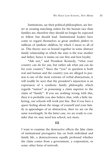Institutions, say their political philosophers, are better at creating marching orders for the human race than families are; therefore they should no longer be expected to follow but should lead. Institutional leaders have come to regard themselves as great *synthetic fathers* to millions of *synthetic children*, by which I mean to all of us. This theory sees us bound together in some abstract family relationship in which the state is the true mother and father; hence it insists on our first and best loyalty.

"Ask not," said President Kennedy, "what your country can do for *you*, but rather ask what *you* can do for your country." Since the "you" in question is both real and human and the country you are alleged to possess is one of the most extreme of verbal abstractions, it will readily be seen that the president's injunction is an expression of a synthetic family philosophy which regards "nation" as possessing a claim superior to the claim of "family". If you see nothing wrong with this, then it is probable you also believe that, with a little tinkering, our schools will work just fine. But if you have a queer feeling about the image of yourself and your family as appendages of an abstraction, then we are on the same wavelength. In the latter case, we are ready to consider that we may need less school, not more.

## **III**

I want to examine the destructive effects the false claim of institutional prerogative has on both individual and family life, a destructiveness equally profound whether the claim comes from a government, a corporation, or some other form of network.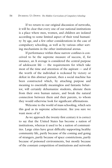If we return to our original discussion of networks, it will be clear that every one of our national institutions is a place where men, women, and children are isolated according to some limited aspect of their total humanity: by age, and a few other considerations in the case of compulsory schooling, as well as by various other sorting mechanisms in the other institutional arenas.

If performance within these narrow confines is conceived to be the supreme measure of success, if, for instance, an A average is considered the central purpose of adolescent life — the requirements for which take most of the time and attention of the aspirant — and if the worth of the individual is reckoned by victory or defeat in this abstract pursuit, then a social machine has been constructed which, by attaching purpose and meaning to essentially meaningless and fantastic behavior, will certainly dehumanize students, alienate them from their own human nature, and break the natural connection between them and their parents, to whom they would otherwise look for significant affirmations.

Welcome to the world of mass schooling, which sets this goal as its supreme achievement. Are you sure we want more of it?

As we approach the twenty-first century it is correct to say that the United States has become a nation of institutions, whereas it used to be a nation of communities. Large cities have great difficulty supporting healthy community life, partly because of the coming and going of strangers, partly because of space constrictions, partly because of poisoned environments, but mostly because of the constant competition of institutions and networks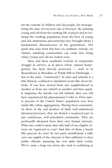for the custody of children and old people, for monopolizing the time of everyone else in between. By isolating young and old from the working life of places and by isolating the working population from the lives of young and old, institutions and networks have brought about a fundamental disconnection of the generations. The griefs that arise from this have no synthetic remedy; no vibrant, satisfying communities can come into being where young and old are locked away.

Here and there mutilated versions of community struggle to survive, as in places where cultural homogeneity has been fiercely protected — such as in Bensonhurst in Brooklyn or Polish Hill in Pittsburgh but in the main, "community" in cities and suburbs is a thin illusion, confined to simulated events like street festivals. If you have moved from one neighborhood to another or from one suburb to another and have quickly forgotten the friends you left behind, then you will have experienced the phenomenon I refer to. Over ninety percent of the United States' population now lives inside fifty urban aggregations. Having been concentrated there as the end product of fairly well-understood historical processes, they are denied a reciprocal part in any continuous, well-articulated community. They are profoundly alienated from their own human interests. What else could it mean that only half of our eligible citizens are registered to vote? And that of those a barely fifty percent do vote? In two-party jurisdictions a trifle over one-eighth of the citizenry is thus sufficient to elect public officials, assuming the vote splits fairly evenly. We've come a long way down the road to redefining as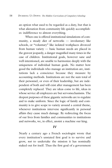an option what used to be regarded as a duty, but that is what alienation from community life quickly accomplishes: indifference to almost everything.

When one is offered institutional simulations of community, a steady diet of networks — involuntary like schools, or "voluntary" like isolated workplaces divorced from human variety — basic human needs are placed in the gravest jeopardy, a danger magnified many times in the case of children. Institutional goals, however sane and well-intentioned, are unable to harmonize deeply with the uniqueness of individual human goals. No matter how good the individuals who manage an institution are, institutions lack a conscience because they measure by accounting methods. Institutions are not the sum total of their personnel, or even of their leadership, but are independent of both and will exist after management has been completely replaced. They are ideas come to life, ideas in whose service all employees are but servomechanisms. The deepest purposes of these gigantic networks are to regulate and to make uniform. Since the logic of family and community is to give scope to variety around a central theme, whenever institutions intervene significantly in personal affairs they cause much damage. By redirecting the focus of our lives from families and communities to institutions and networks, we, in effect, anoint a machine our king.

## **IV**

Nearly a century ago a French sociologist wrote that every institution's unstated first goal is to survive and grow, *not* to undertake the mission it has nominally staked out for itself. Thus the first goal of a government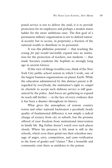postal service is not to deliver the mail; it is to provide protection for its employees and perhaps a modest status ladder for the more ambitious ones. The first goal of a permanent military organization is not to defend national security but to secure, in perpetuity, a fraction of the national wealth to distribute to its personnel.

It was this philistine potential — that teaching the young *for pay* would inevitably expand into an institution for the protection of teachers, not students — that made Socrates condemn the Sophists so strongly long ago in ancient Greece.

If this view of things troubles you, think of the New York City public school system in which I work, one of the largest business organizations on planet Earth. While the education administered by this abstract parent is illregarded by everybody, the institution's right to *compel* its clientele to accept such dubious service is still guaranteed by the police. And forces are gathering to expand its reach still further — in the face of every evidence that it has been a disaster throughout its history.

What gives the atmosphere of remote country towns and other national backwaters a peculiarly heady quality of fundamental difference is not simply a radical change of scenery from city or suburb, but the promise offered of near freedom from institutional intervention in family life. Big Father doesn't watch over such places closely. Where his presence is felt most is still in the schools, which even there grind out their relentless message of anger, envy, competition, and caste-verification in the form of grades and "classes." But a homelife and community exist there as antidotes to the poison.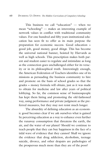This business we call "education" — when we mean "schooling" — makes an interesting example of network values in conflict with traditional community values. For one hundred and fifty years institutional education has seen fit to offer as its main purpose the preparation for economic success. Good education = good job, good money, good *things*. This has become the universal national banner, hoisted by Harvards as well as high schools. This prescription makes both parent and student easier to regulate and intimidate as long as the connection goes unchallenged either for its veracity or in its philosophical truth. Interestingly enough, the American Federation of Teachers identifies one of its missions as persuading the business community to hire and promote on the basis of school grades so that the grades = money formula will obtain, just as it was made to obtain for medicine and law after years of political lobbying. So far, the common sense of businesspeople has kept them hiring and promoting the old-fashioned way, using performance and private judgment as the preferred measures, but they may not resist much longer.

The absurdity of defining education as an economic good becomes clear if we ask ourselves what is gained by perceiving education as a way to enhance even further the runaway consumption that threatens the earth, the air, and the water of our planet? Should we continue to teach people that they can buy happiness in the face of a tidal wave of evidence that they cannot? Shall we ignore the evidence that drug addiction, alcoholism, teenage suicide, divorce, and other despairs are pathologies of the prosperous much more than they are of the poor?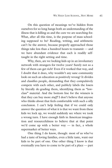On this question of meanings we've hidden from ourselves for so long hangs both an understanding of the illness that is killing us and the cure we are searching for. What, after all this time, is the purpose of mass schooling supposed to be? Reading, writing, and arithmetic can't be the answer, because properly approached those things take less than a hundred hours to transmit — and we have abundant evidence that each is readily selftaught in the right setting and time.

Why, then, are we locking kids up in an involuntary network with strangers for twelve years? Surely not so a few of them can get rich? Even if it worked that way, and I doubt that it does, why wouldn't any sane community look on such an education as positively wrong? It divides and classifies people, demanding that they compulsively compete with each other, and publicly labels the losers by literally de-grading them, identifying them as "lowclass" material. And the bottom line for the winners is that they can buy more *stuff!* I don't believe that anyone who thinks about that feels comfortable with such a silly conclusion. I can't help feeling that if we could only answer the question of what it is that we want from these kids we lock up, we would suddenly see where we took a wrong turn. I have enough faith in American imagination and resourcefulness to believe that at that point we'd come up with a better way  $-$  in fact, a whole supermarket of better ways.

One thing I do know, though: most of us who've had a taste of loving families, even a little taste, want our kids to be part of one. One other thing I know is that eventually you have to come to be part of a place — part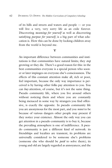of its hills and streets and waters and people — or you will live a very, very sorry life as an exile forever. Discovering *meaning for yourself* as well as discovering satisfying *purpose for yourself*, is a big part of what education is. How this can be done by locking children away from the world is beyond me.

## **V**

An important difference between communities and institutions is that communities have natural limits; they *stop* growing or they die. There's a good reason for this: in the best communities everyone is a special person who sooner or later impinges on everyone else's consciousness. The effects of this constant attention make all, rich or poor, feel important, because the only way importance is perceived is by having other folks pay attention to you. You can *buy* attention, of course, but it's not the same thing. Pseudo community life, where you live around others without noticing them and where you are constantly being menaced in some way by strangers you find offensive, is exactly the opposite. In pseudo community life you are anonymous for the most part, and you *want* to be because of various dangers other people may present if they notice your existence. Almost the only way you can get attention in a pseudo community is to buy it, because the prevailing atmosphere is one of indifference. A pseudo community is just a different kind of network: its friendships and loyalties are transient; its problems are universally considered to be someone else's problems (someone else who should be *paid* to solve them); its young and old are largely regarded as annoyances; and the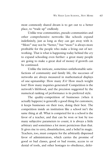most commonly shared dream is to get out to a better place, to "trade up" endlessly.

Unlike true communities, pseudo communities and other comprehensive networks like schools expand indefinitely, just as long as they can get away with it. "More" may not be "better," but "more" is always more profitable for the people who make a living out of networking. That is what is happening today behind the cry to expand schooling even further: a great many people are going to make a great deal of money if growth can be continued.

Unlike the intricate, sometimes unfathomable satisfactions of community and family life, the successes of networks are always measured in mathematical displays of one-upmanship: How many A's? How much weight lost? How many inquiries generated? Competition is the network's lifeblood, and the precision suggested by the numerical ranking of performance is its preferred style.

The quality-competition of businesses (when it actually happens) is generally a good thing for customers; it keeps businesses on their toes, doing their best. The competition inside an institution like a school isn't the same thing at all. What is competed for in a school is the favor of a teacher, and that can be won or lost by too many subjective parameters to count; it is always a little arbitrary and sometimes a lot more pernicious than that. It gives rise to envy, dissatisfaction, and a belief in magic. Teachers, too, must compete for the arbitrarily dispensed favor of administrators, which carries the promise of good or bad classes, good or bad rooms, access to or denial of tools, and other hostages to obedience, defer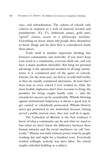ence, and subordination. The culture of schools only coheres in response to a web of material rewards and punishments: A's, F's, bathroom passes, gold stars, "good" classes, access to a photocopy machine. Everything we know about *why* people drive themselves to know things and do their best is contradicted inside these places.

Truth itself is another important dividing line between communities and networks. If you don't keep your word in a community, everyone finds out, and you have a major problem thereafter. But lying for personal advantage is the operational standard in all large institutions; it is considered part of the game in schools. Parents, for the most part, are lied to or told half-truths, as they are usually considered adversaries. At least that's been true in every school I ever worked in. Only the most foolish employees don't have recourse to lying; the penalties for being caught hardly exist — and the rewards for success can be considerable. Whistle-blowing against institutional malpractice is always a good way to get canned or relentlessly persecuted. Whistle-blowers never get promoted in any institution because, having served a public interest once, they may well do it again.

The Cathedral of Rheims is the best evidence I know of what a community can do and what we stand to lose when we don't know the difference between these human miracles and the social machinery we call "networks." Rheims was built without power tools by people working day and night for a hundred years. Everybody worked willingly; nobody was slave labor. No school taught cathedral building as a subject.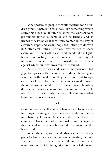What possessed people to work together for a hundred years? Whatever it was looks like something worth educating ourselves about. We know the workers were profoundly united as families and as friends, and as friends they knew what they really wanted in the way of a church. Popes and archbishops had nothing to do with it. Gothic architecture itself was invented out of sheer aspiration — the Gothic cathedral stands like a lighthouse illuminating what is possible in the way of uncoerced human union. It provides a benchmark against which our own lives can be measured.

At Rheims, the serfs and farmers and peasants filled gigantic spaces with the most incredible stained-glass windows in the world, but they never bothered to sign even one of them. No one knows who designed or made them, because our modern form of institutional boasting did not yet exist as a corruption of communitarian feeling. After all these centuries they still announce what being human really means.

## **VI**

Communities are collections of families and friends who find major meaning in extending the family association to a band of honorary brothers and sisters. They are complex relationships of commonality and obligation that generalize to others beyond the perimeter of the homestead.

When the integration of life that comes from being part of a family in a community is unattainable, the only alternative, apart from accepting a life in isolation, is to search for an artificial integration into one of the many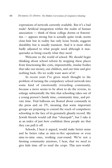expressions of network currently available. But it's a bad trade! Artificial integration within the realm of human association — think of those college dorms or fraternities — appears strong but is actually quite weak; seems close-knit but in reality has only loose bonds; suggests durability but is usually transient. And it is most often badly adjusted to what people need although it masquerades as being exactly what they need.

Welcome to the world of school. We should begin thinking about school reform by stopping these places from functioning like cysts, impenetrable, insular bodies that take our money, our children, and our time and give nothing back. Do we really want *more* of it?

In recent years I've given much thought to the problem of turning the compulsory school network into some kind of emotionally rewarding community, because a move seems to be afoot to do the reverse, to enlarge substantially the bite that schooling takes out of a young person's family time, community time, and private time. Trial balloons are floated about constantly in the press and on TV, meaning that some important groups are preparing to extend the reach of compulsory schooling in the face of its genuinely ghastly record. My Jewish friends would call that "chutzpah", but I take it as an index of just how confident these people are that they can pull it off.

Schools, I hear it argued, would make better sense and be better value as nine-to-five operations or even nine-to-nine ones, working year-round. We're not a farming community anymore, I hear, that we need to give kids time off to tend the crops. This new-world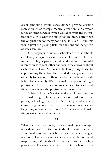order schooling would serve dinner, provide evening recreation, offer therapy, medical attention, and a whole range of other services, which would convert the institution into a true synthetic family for children, better than the original one for many poor kids, it is said — and this would level the playing field for the sons and daughters of weak families.

Yet it appears to me as a schoolteacher that schools are already a major cause of weak families and weak communities. They separate parents and children from vital interaction with each other and from true curiosity about each other's lives. Schools stifle family originality by appropriating the critical time needed for any sound idea of family to develop — then they blame the family for its failure to be a family. It's like a malicious person lifting a photograph from the developing chemicals too early, and then pronouncing the photographer incompetent.

A Massachusetts Senator said a while ago that his state had a higher literacy rate before it adopted compulsory schooling than after. It's certainly an idea worth considering: schools reached their maximum efficiency long ago, meaning that "more" for schools will make things worse, instead of better.

#### **VII**

Whatever an education is, it should make you a unique individual, not a conformist; it should furnish you with an original spirit with which to tackle the big challenges; it should allow you to find values which will be your road map through life; it should make you spiritually rich, a person who loves whatever you are doing, wherever you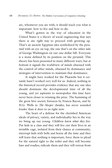are, whomever you are with; it should teach you what is important: how to live and how to die.

What's gotten in the way of education in the United States is a theory of social engineering that says there is *one right way* to proceed with growing up. That's an ancient Egyptian idea symbolized by the pyramid with an eye on top, the one that's on the other side of George Washington on our one-dollar bill. Everyone is a stone defined by its position on the pyramid. This theory has been presented in many different ways, but at bottom it signals the worldview of minds obsessed with the control of other minds, obsessed by dominance and strategies of intervention to maintain that dominance.

It might have worked for the Pharaohs but it certainly hasn't worked very well for us. Indeed, nothing in the historical record provides evidence that any one idea should dominate the developmental time of all the young, and yet aspirants to monopolize this time have never been closer to winning the prize. The humming of the great hive society foreseen by Francis Bacon, and by H.G. Wells in *The Sleeper Awakes,* has never sounded louder than it does to us right now.

The heart of a defense for the cherished American ideals of privacy, variety, and individuality lies in the way we bring up our young. *Children learn what they live*. Put kids in a class and they will live out their lives in an invisible cage, isolated from their chance at community; interrupt kids with bells and horns all the time and they will learn that nothing is important; force them to plead for the natural right to the toilet and they will become liars and toadies; ridicule them and they will retreat from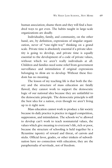human association; shame them and they will find a hundred ways to get even. The habits taught in large-scale organizations are deadly.

Individuality, family, and community, on the other hand, are, by definition, expressions of singular organization, never of "one-right-way" thinking on a grand scale. Private time is absolutely essential if a private identity is going to develop, and private time is equally essential to the development of a code of private values, without which we aren't really individuals at all. Children and families need some relief from government surveillance and intimidation if original expressions belonging to *them* are to develop. Without these freedom has no meaning.

The lesson of my teaching life is that both the theory and the structure of mass education are fatally flawed; they cannot work to support the democratic logic of our national idea because they are unfaithful to the democratic principle. The democratic principle is still the best idea for a nation, even though we aren't living up to it right now.

Mass education cannot work to produce a fair society because its daily practice is practice in rigged competition, suppression, and intimidation. The schools we've allowed to develop can't work to teach nonmaterial values, the values which give meaning to everyone's life, rich or poor, because the structure of schooling is held together by a Byzantine tapestry of reward and threat, of carrots and sticks. Official favor, grades, or other trinkets of subordination have no connection with education; they are the paraphernalia of servitude, not of freedom.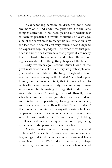Mass schooling damages children. We don't need any more of it. And under the guise that it is the same thing as education, it has been picking our pockets just as Socrates predicted it would thousands of years ago. One of the surest ways to recognize real education is by the fact that it doesn't cost very much, doesn't depend on expensive toys or gadgets. The experiences that produce it and the self-awareness that propels it are nearly free. It is hard to turn a dollar on education. But schooling is a wonderful hustle, getting sharper all the time.

Sixty-five years ago Bertrand Russell, one of the great mathematicians of this century, its greatest philosopher, and a close relation of the King of England to boot, saw that mass schooling in the United States had a profoundly anti-democratic intent, that it was a scheme to artificially deliver national unity by eliminating human variation and by eliminating the forge that produces variation: the family. According to Lord Russell, mass schooling produced a recognizably *American* student: anti-intellectual, superstitious, lacking self-confidence, and having less of what Russell called "inner freedom" than his or her counterpart in any other nation he knew of, past or present. These schooled children became citizens, he said, with a thin "mass character," holding excellence and aesthetics equally in contempt, being inadequate to the personal crises of their lives.

American national unity has always been the central problem of American life. It was inherent in our synthetic beginnings and in the conquest of a continental landmass. It was true in 1790 and it is just as true, perhaps even truer, two hundred years later. Somewhere around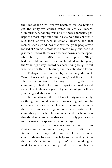the time of the Civil War we began to try shortcuts to get the unity we wanted faster, by artificial means. Compulsory schooling was one of those shortcuts, perhaps the most important one. "Take hold the children!" said John Cotton back in colonial Boston, and that seemed such a good idea that eventually the people who looked at "unity" almost as if it were a religious idea did just that. It took thirty years to beat down a fierce opposition, but by the 1880s it had come to pass — "they" had the children. For the last one hundred and ten years, the "one-right-way" crowd has been trying to figure out what to do with the children, and they still don't know.

Perhaps it is time to try something different. "Good fences make good neighbors," said Robert Frost. The natural solution to learning to live together in a community is first to learn to live apart as individuals and as families. Only when you feel good about yourself can you feel good about others.

But we attacked the problem of unity mechanically, as though we could force an engineering solution by crowding the various families and communities under the broad, homogenizing umbrella of institutions like compulsory schools. The outcome of this scheme was that the democratic ideas that were the only justification for our national experiment were betrayed.

The attempt at a shortcut continues, and it ruins families and communities now, just as it did then. Rebuild these things and young people will begin to educate themselves with our help — just as they did at the nation's beginning. They don't have anything to work for now except money, and that's never been a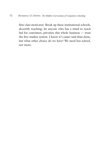### 72 DUMBING US DOWN: *The Hidden Curriculum of Compulsory Schooling*

first-class motivator. Break up these institutional schools, decertify teaching, let anyone who has a mind to teach bid for customers, privatize this whole business — trust the free market system. I know it's easier said than done, but what other choice do we have? We need less school, not more.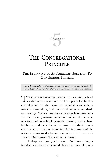hapte. *Chapter*

# **THE CONGREGATIONAL PRINCIPLE**

### **THE BEGINNING OF AN AMERICAN SOLUTION TO OUR SCHOOL PROBLEM**

*This talk, eventually one of the most popular arrows in my peripatetic speaker's quiver, began life in a slightly altered form as an essay in* The Maine Scholar.

THESE ARE SURREALISTIC TIMES. The scientific school establishment continues to float plans for further centralization in the form of national standards, a national curriculum, and improved national standardized testing. Magical promises are everywhere: machines are the answer; massive interventions are the answer; new forms of pre-schooling are the answer; baseball bats, bullhorns, and padlocks are the answer. In the face of a century and a half of searching for it unsuccessfully, nobody seems to doubt for a minute that there is an answer. One answer. The one right answer.

Perhaps you agree, perhaps not. But if some lingering doubt exists in your mind about the possibility of a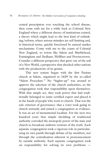central prescription ever touching the school disease, then come with me for a while back to Colonial New England where a different theory of institutions existed, a theory which might lead to the best kind of rethinking/reform, where serious mistakes are self-limiting and, in historical terms, quickly foreclosed by natural market mechanisms. Come with me to the coasts of Colonial New England, to towns like Salem and Marblehead, Framingham and Dedham, Wellfleet and Provincetown. Consider a different perspective that grew out of the soil of a New World, a perspective that shocked other nations with the productivity of its genius.

This new system began with the first Puritan church at Salem, organized in 1629 by the so-called "Salem Procedure." No "higher-up" was around to approve the selection of the church authorities, so the congregation took that responsibility upon themselves. With that simple act, they took power that had traditionally belonged to some certified expert and placed it in the hands of people who went to church. That was the sole criterion of governance: that a voter took going to church seriously and joined a congregation as evidence. It was an act of monumental localism. For the next two hundred years that simple shedding of traditional authority corroded the monopoly power of the state and church to broadcast uniform versions of the truth. Each separate congregation took a vigorous role in particularizing its own parish through debate of lay members, not through the centralization inherent in pronouncement by outside authority. Each separate congregation took on responsibility for solving its own problems —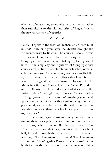whether of education, economics, or doctrine — rather than submitting to the old authority of England or to the new aristocracy of expertise.

- - -

Last fall I spoke in the town of Dedham at a church built in 1638, only nine years after the *Arbella* brought the Nonconformists to Boston. The church I spoke in was Unitarian Universalist, but had originally been Congregational. White spire, strikingly plain, graceful lines — the simplicity and rightness of Congregational church architecture is absolutely unmistakable, remarkable, and uniform. You may or may not be aware that the style of worship that went with this style of architecture was the original and exclusive religion of the Massachusetts Bay Colony, from the Salem Procedure until 1834, over two hundred years of what seems on the surface to be a "one-right-way" religion. You were either a Congregationalist or you weren't anything you dared speak of in public, at least without risk of being shunned, persecuted, or even burned at the stake. So far this sounds even worse than the school monopoly that ruins us, doesn't it?

These Congregationalists were so jealously protective of their monopoly that one hundred and seventy years ago, when Lyman Beecher got word that Unitarians were on their way out from the bowels of hell, he rode through the streets just like Paul Revere warning, "The Unitarians are coming! The Unitarians are coming!" You'll gather Parson Beecher wasn't exactly thrilled with their advent. But an amazing thing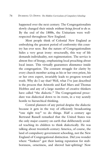happened over the next century. The Congregationalists slowly changed their minds *without being forced to do so*. By the end of the 1800s, the Unitarians were wellrespected throughout New England.

Most people think of Colonial New England as embodying the greatest period of conformity this country has ever seen. But the nature of Congregationalism hides a very great irony: structurally, this way of life demands individuality, not regimentation. The service is almost free of liturgy, emphasizing local preaching about local issues. This virtually guarantees *dissonance* inside the congregation. The constant struggle for clarity by every church member acting as his or her own priest, his or her own expert, invariably leads to progress toward truth. Why do I say that? Well, what I've just described is the process that Aristotle and Karl Marx and Thomas Hobbes and any of a large number of creative thinkers have called "the dialectic." The Congregational procedure was dialectical down to its roots, in a way acutely hostile to hierarchical thinking.

Central planners of any period despise the dialectic because it gets in the way of efficiently broadcasting "one right way" to do things. Half a century ago Bertrand Russell remarked that the United States was the only major country on earth that deliberately avoided teaching its children to think dialectically. He was talking about twentieth-century America, of course, the land of compulsory government schooling, not the New England of Congregational distinction. Did you wonder where "Yankees" got their lasting reputation for stubbornness, orneriness, and shrewd hair-splitting? Now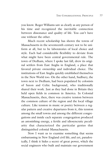you know. Roger Williams saw as clearly as any person of his time and recognized the inevitable connection between dissonance and quality of life. You can't have one without the other.

Much recent scholarship has shown the towns of Massachusetts in the seventeenth century not to be uniform at all, but to be laboratories of local choice and style. Each had considerable flexibility to deviate from what might have been central governmental rule. The town of Dedham, where I spoke last fall, drew its original settlers from East Anglia in England, a place that favored private ownership and individual choice. The institutions of East Anglia quickly established themselves in the New World too. On the other hand, Sudbury, the town next to Dedham, had been populated by colonists of Saxon and Celtic background, who traditionally shared their work. Just as they had done in Britain they held open fields in common in America. In Colonial Massachusetts, then, there was creative tension between the common culture of the region and the local village culture. Like tension in music or poetry between a regular pattern and creative departures from it, this tension among the small towns and among the different congregations and inside each separate congregation produced an astonishing energy, a fertile and idiosyncratic peculiarity that characterized the particular genius that distinguished colonial Massachusetts.

Now I want us to examine something that seems embarrassing in New England civil life; and yet, paradoxically, I think it hides a secret of great power, which the social engineers who built and maintain our government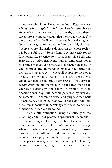### 78 DUMBING US DOWN: *The Hidden Curriculum of Compulsory Schooling*

monopoly schools are forced to overlook: *Each town was able to exclude people it didn't like*! People were able to *choose* whom they wanted to work with, to sort themselves into a living curriculum that worked for them. The words of the first Dedham charter catch this feeling perfectly; the original settlers wanted to (and did) shut out "people whose dispositions do not suit us, whose society will be hurtful to us." So in a funny way these early towns functioned like selective *clubs* or colleges, like MIT and Harvard do today, narrowing human differences down to a range that could be managed by them humanely. If you consider the tremendous stresses the dialectical process sets up anyway — where all people are their own priests, their own final masters — it's hard to see how a congregational society can do otherwise. If you have to accept everyone, no matter how hostile they may be to your own personality, philosophy, or mission, then an operation would quickly become paralyzed by fatal disagreements. The common causes and purposes that mark human association at its best would then degrade into those few innocuous undertakings that have no political dimension, if such can be found.

It's a subtle distinction: living dialectically as the New Englanders did produces spectacular accomplishments and brings out strong qualities of character and mind in individuals, but it isn't possible to manage where the whole catalogue of human beings is thrown together haphazardly or forced together, as it is in government monopoly school life. To prevent chaos in these places, management must aim, by hook or by crook, to make everything — time, space, texts, and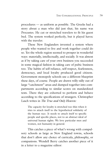procedures — as uniform as possible. The Greeks had a story about a man who did just that; his name was Procustes. He cut or stretched travelers to fit his guest bed. The system worked perfectly, but it played havoc with the traveler.

These New Englanders invented a system where people who wanted to live and work together could do so. Yet the whole region seemed to prosper in wonderful ways: materially, intellectually, and socially. It was almost as if by taking care of your own business you succeeded in some magical fashion in taking care of pubic business too. The habits of self-reliance, self-respect, fearlessness, democracy, and local loyalty produced good citizens. Government monopoly schools use a different blueprint these days, of course. People are drawn willy-nilly out of large "catchment" areas and dumped together into compartments according to similar scores on standardized tests. There they are exhorted to perform and behave according to the specifications of strangers. Christopher Lasch writes in *The True and Only Heaven:*

The capacity for loyalty is stretched too thin when it tries to attach itself to the hypothetical solidarity of the human race. It needs to attach itself to specific people and specific places, not to an abstract ideal of universal human rights. We love particular men and women, not humanity in general.

This catches a piece of what's wrong with compulsory schools as large as New England towns, schools that don't allow any choice of curricula, philosophy, or companions. Wendell Berry catches another piece of it in a letter to a magazine editor: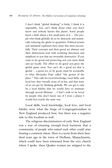I don't think "global thinking" is futile, I think it is impossible. You can't think about what you don't know and nobody knows this planet. Some people know a little about a few small parts of it ... The people who think globally do so by abstractly and statistically reducing the globe to quantities. Political tyrants and industrial exploiters have done this most successfully. Their concepts and their greed are abstract and their abstractions lead with terrifying directness and simplicity to acts that are invariably destructive. If you want to do good and preserving acts you must think and act locally. The effort to do good acts gives the global game away. You can't do a good act that is global ... a good act, to be good, must be acceptable to what Alexander Pope called "the genius of the place." This calls for local knowledge, local skills, and local love that virtually none of us has, and that none of us can get by thinking globally. We can get it only by a local fidelity that we would have to maintain through several lifetimes ... I don't wish to be loved by people who don't know me; if I were a planet I would feel exactly the same way.

Local skills, local knowledge, local love, and local fidelity were what the forge of Congregationalism in New England produced best, but there was a negative side to this localism as well.

The religious discrimination of early New England was a way of ensuring enough local harmony that a community of people who suited each other could arise bearing a common vision. Here is a scene from three hundred years ago in the town of Dedham, Massachusetts, which could have been witnessed from the very church where I spoke: three Quaker women are stripped to the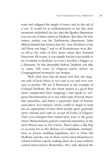waist and whipped the length of town, tied to the tail of a cart. It would be an understatement to say that such treatment underlined the fact that the Quaker disposition was not one of those suited to Dedham. But then, for that matter, neither was the Presbyterian disposition. John Milton himself had written that the "new Presbyter is but old Priest writ large," and so all Presbyterians were driven off to the wilds of New Jersey where they founded Princeton. Of course, it was equally bad for your health to be a Catholic in Dedham, or to be a Leveller, a Digger, or a Hutterite. In this detestable fashion Dedham was able to enjoy 234 years of religious purity before its Congregational monopoly was broken.

Well, what does this all mean? Just this: the negative side of local choice is very easy to see and even very easy to predict. We see it illustrated in the example of Colonial Dedham. But the whole matter is a good deal more complicated than assigning a bad grade to religious discrimination or to any other type of social choice that prescribes and limits a particular kind of human association. For instance, where could we begin to look for an explanation of how these people grew gradually more tolerant and came to accept all forms of religion? They even changed their conservative ways to the point where Massachusetts gained a national reputation as the most liberal state in the Union. That's quite a flip-flop to account for in the absence of compulsion, intimidation, or potent enabling legislation, isn't it. How did Dedham and the rest of those towns *teach themselves* to reform without experts making them do it and without central intervention? Remember, they only allowed the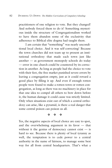practitioners of one religion to vote. But they changed! And nobody forced them to do it! Something mysterious inside the structure of Congregationalism worked to have them abandon some of the exclusivity that adherence to Biblical elite dogma had taught them.

I am certain that "something" was nearly unconditional local choice. And it was self-correcting! Because the town churches did not team up to present an institutional orthodoxy that made each town just like another — as government monopoly schools do today — error in one church could be countered by its correction in another. As long as people had the choice to vote with their feet, the free market punished severe errors by leaving a congregation empty, just as it could reward a good place by filling it up. And even if enough rotten people were found to make a rotten town or rotten congregation, as long as there was no machinery in place for that one idea to compel all others to bow down before it, the human damage it could cause was strictly limited. Only when situations exist out of which a central orthodoxy can arise, like a pyramid, is there a real danger that some central poison can poison us all.

#### $\mathbf{r}$  $\frac{1}{2}$  $\cdot$

Yes, the negative aspects of local choice are easy to spot, and the overwhelming argument in its favor — that without it the genius of democracy cannot exist  $-$  is hard to see. Because there is plenty of local tyranny as well, the temptation is to cede power to a central authority in the name of fairness, to manage some best way for all from central headquarters. That's what a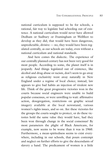national curriculum is supposed to be for schools, a rational, fair way to legislate bad schooling out of existence. A national curriculum would never have allowed Dedham or Sudbury or Framingham or Wellfleet to develop as they did; that would have been dangerous, unpredictable, divisive — no, they would have been regulated centrally, as our schools are today, even without a national curriculum and national standards.

And here comes the dialectic. The experience of our centrally planned century has not been very good for most people. According to some, the planet itself is in jeopardy. And things legislated out of existence, like alcohol and drug abuse or racism, don't seem to go away as religious exclusivity went away naturally in New England under a regime of local choice; instead, law appears to give bad habits an injection of virulent new life. Think of the great progressive victories won in the courts because social engineers were unable to build popular consensus, or were unwilling to wait: affirmative action, desegregation, restrictions on graphic sexual imagery available at the local newsstand, various women's rights issues, and so on. Are these victories for the groups the courts sought to protect, or do these victories hold the same value they would have, had they been won through change in the social consensus? By most parameters the plight of Black Americans, for example, now seems to be worse than it was in 1960. Furthermore, a mean-spiritedness seems to exist everywhere, including in our schools, that pours contempt and neglect on further efforts to give the descendants of slavery a hand. The predicament of women is a little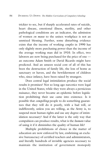### 84 DUMBING US DOWN: *The Hidden Curriculum of Compulsory Schooling*

trickier to see, but if sharply accelerated rates of suicide, heart disease, emotional illness, sterility, and other pathological conditions are an indicator, the admission of women *en masse* to the unisex workplace is not an unmixed blessing. Further, some disturbing evidence exists that the income of working *couples* in 1990 has only slightly more purchasing power than the income of the average working man did in 1910. In effect, two laborers are now being purchased for the price of one an outcome Adam Smith or David Ricardo might have predicted. And an unseen social cost of all of this has been the destruction of family life, the loss of home as sanctuary or haven, and the bewilderment of children who, since infancy, have been raised by strangers.

Does central legal intimidation produce the social results it promises? Not so long ago narcotics were legal in the United States; while they were always a pernicious nuisance, they never became an epidemic before legislation prohibiting their use came into existence. Is it possible that *compelling* people to do something guarantees that they will do it poorly, with a bad will, or indifferently, unless you are willing, as the Army is, to suspend most human rights and use any degree of intimidation necessary? And if the latter is the only way that compulsion can produce results, what is the *human* value of using it if it diminishes the quality of human life?

Multiple prohibitions of choice in the matter of education are now enforced by law, enshrining an exclusive bureaucracy of certified teachers and administrators, and literally hundreds of invisible agencies necessary to maintain the institution of government monopoly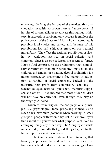schooling. Defying the lessons of the market, this psychopathic megalith has grown more and more powerful in spite of colossal failures to educate throughout its history. It succeeds in surviving only because it employs the police power of the State to fill its hollow classrooms. It prohibits local choice and variety and, because of this prohibition, has had a hideous effect on our national moral fabric. The effect the national prohibition of alcohol by legislation has had on social cohesion and common values is an object lesson too recent to forget, I hope. And compared to the prohibitions that compulsory government monopoly schooling imposes on the children and families of a nation, alcohol prohibition is a minor episode. By preventing a free market in education, a handful of social engineers, backed by the industries that profit from compulsory schooling teacher colleges, textbook publishers, materials suppliers, and others — has ensured that most of our children will not have an education, even though they may be thoroughly schooled.

Divorced from religion, the congregational principle is a psychological force propelling individuals to reach their maximum potential when working in small groups of people with whom they feel in harmony. If you think about this you wonder what purpose is achieved by arranging things any other way. The Congregationalists understood profoundly that good things happen to the human spirit *when it is left alone.*

The best immediate evidence I have to offer, that leaving people alone to work out their own local destinies is a splendid idea, is the curious sociology of my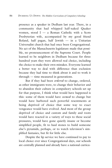presence as a speaker in Dedham last year. There, in a community that had whipped half-naked Quaker women, stood I — a Roman Catholic with a Scots Presbyterian wife, accompanied by my good friend Roland, half pagan, half Jewish — in a Unitarian Universalist church that had once been Congregational. No act of the Massachusetts legislature made that possible, no pronouncement of the Supreme Court. People learned to be neighbors in Dedham because for three hundred years they were allowed real choice, including the choice to make their own mistakes. Everyone learned a better way to deal with difference than exclusion because they had time to think about it and to work it through — time measured in generations.

But if they had been *ordered* to change, ordered, as other immigrants were, to change their behavior and to abandon their culture in compulsory schools set up for that purpose, I think what would have happened is this: some of them would have *seemed* to change but would have harbored such powerful resentments at being deprived of choice that some way to exact vengeance would have evolved. And most of the group deprived of choice and custom and family and roots would have reacted in a variety of ways to these social pressures, would have gone quietly insane or become simplified people, fit to haul stones to build someone else's pyramids, perhaps, or to watch television's simplified fantasies, but fit for little else.

Despite the lip service we have continued to pay to local choice ever since Congregational days, our schools are centrally planned and already have a national curricu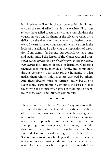lum in place mediated by the textbook publishing industry and the standardized training of teachers. That our schools have failed spectacularly to give our children the education we want for them, or the selves we want, or to deliver on the dream of the democratic, classless society we still yearn for is obvious enough; what we miss is the logic of our failure. By allowing the imposition of direction from centers far beyond our control, we have time and again missed the lesson of the Congregational principle: *people are less than whole unless they gather themselves voluntarily* into groups of souls in harmony. Gathering themselves to pursue individual, family, and community dreams consistent with their private humanity is what makes them whole; only slaves are gathered by others. And these dreams must be written locally because to exercise any larger ambition without such a base is to lose touch with the things which give life meaning: self, family, friends, work, and intimate community.

### - - -

There seem to me to be two "official" ways to look at the state of education in the United States these days, both of them wrong. First, we conceive it to be an engineering problem that can be made to yield to a pragmatic instrumental approach. From this vantage point there is a simple right and wrong way of schooling, never the thousand private individual possibilities the New England Congregationalists might have believed in. Second, we look upon schooling as if it were a character in a continuous courtroom drama, a drama wherein we search for the villains who have prevented our kids from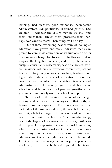learning. Bad teachers, poor textbooks, incompetent administrators, evil politicians, ill-trained parents, bad children — whoever the villains may be we shall find them, indict them, arraign them, prosecute them, perhaps even execute them! Then things will be okay.

Out of these two wrong-headed ways of looking at education have grown enormous industries that claim power to cure mass education of its frictions or of its demons in exchange for treasure. Into this carnival of magical thinking has come a parade of profit-seekers: analysts, consultants, researchers, academic houses, writers, advisors, columnists, textbook committees, school boards, testing corporations, journalists, teachers' colleges, state departments of education, monitors, coordinators, manufacturers, certified teachers and administrators, television programs, and hordes of school-related businesses — all parasitic growths of the government monopoly over the school concept.

To many of us, the greatest attraction of social engineering and antisocial demonologies is that both, at bottom, promise a quick fix. That has always been the dark side of the American dream, the search for an easy way out, a belief in magic. The endless parade of promises that constitutes the heart of American advertising, one of the largest of our national enterprises, testifies to the deep well of superstition in our national foundation, which has been institutionalized in the advertising business. Easy money, easy health, easy beauty, easy education — if only the right incantation can be found. Lurking behind the magic is an image of people as machinery that can be built and repaired. This is our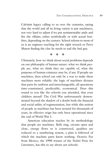Calvinist legacy calling to us over the centuries, saying that the world and all its living variety is just machinery, not very hard to adjust if we put sentimentality aside and fire the villains, either symbolically or with actual bonfires, depending on the century. School reform to most of us is an engineer reaching for the right wrench or Perry Mason finding the clue he needs to nail the bad guy.

> $\Phi = \Phi$  $\star^*$

Ultimately, how we think about social problems depends on our philosophy of human nature: what we think people are, what we think they are capable of, what the purposes of human existence may be, if any. If people are machines, then school can only be a way to make these machines more reliable; the logic of machines dictates that parts be uniform and interchangeable, all operations time-constrained, predictable, economical. Does this sound to you like the schools you attended, that your children attend? The Civil War unfortunately demonstrated beyond the shadow of a doubt both the financial and social utility of regimentation, but while this notion of people as machines has been around for thousands of years, its effective reign has only been operational since the end of World War I.

American education teaches by its methodology that people are machines. Bells ring, circuits open and close, energy flows or is constricted, qualities are reduced to a numbering system, a plan is followed of which the machine parts know nothing. Octavio Paz from Mexico, the 1990 winner of the Nobel Prize for Literature, has this to say about our schools: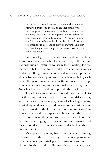In the North American system men and women are subjected from childhood to an inexorable process. Certain principles contained in brief formulas are endlessly repeated by the press, radio, television, churches, and especially schools. A person imprisoned by these schemes is like a plant in a flowerpot too small for it. He cannot grow or mature. This sort of conspiracy cannot help but provoke violent individual rebellions.

We cannot grow or mature, like plants in too little flowerpots. We are addicted to dependency; in the current national crisis of maturity we seem to be waiting for the teacher to tell us what to do, but the teacher never comes to do that. Bridges collapse, men and women sleep on the streets, bankers cheat, good will decays, families betray each other, the government lies as a matter of policy — corruption, shame, sickness, and sensationalism are everywhere. No school has a curriculum to provide the quick fix.

The old Congregationalists would have been able to put their finger at once on the reason pyramidal societies, such as the one our monopoly form of schooling sustains, must always end in apathy and disorganization. At the root they are based on the lie that there is "one right way" in human affairs and that experts can be awarded the permanent direction of the enterprise of education. It is a lie because the changing dynamics of time and situation and locality render expertise irrelevant and obsolete shortly after it is anointed.

Monopoly schooling has been the chief training institution of the hive society. It certifies permanent experts who enjoy privileges of status unwarranted by the results they produce. Because these privileges, once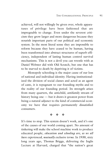achieved, will not willingly be given over, whole apparatuses of privilege have been fashioned that are impregnable to change. Even under the severest criticism they grow larger and more dangerous because they nourish important parts of our political and economic system. In the most literal sense they are impossible to reform because they have ceased to be human, having been transformed into abstract structures of superb efficiency, independent of lasting human control survival mechanisms. This is not a devil you can wrestle with as Daniel Webster did with Old Scratch, but one that has to be starved to death by depriving it of victims.

Monopoly schooling is the major cause of our loss of national and individual identity. Having institutionalized the division of social classes and acted as an agent of caste, it is repugnant to our founding myths and to the reality of our founding period. Its strength arises from many quarters, the antichild, antifamily stream of history being one — but it draws it greatest power from being a natural adjunct to the kind of commercial economy we have that requires permanently dissatisfied consumers.

### $\begin{array}{ccccc} \phi & \phi & \phi \end{array}$

It's time to stop. This system doesn't work, and it's one of the causes of our world coming apart. No amount of tinkering will make the school machine work to produce educated people; *education and schooling are, as we all have experienced, mutually exclusive terms*. In 1930, sixty long years ago, Thomas Briggs, delivering the Inglis Lecture at Harvard, charged that "the nation's great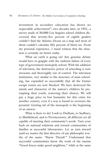investment in secondary education has shown no respectable achievement"; two decades later, in 1951, a survey made of 30,000 Los Angeles school children discovered that seventy-five percent of eighth graders couldn't find the Atlantic Ocean on a map and most of them couldn't calculate fifty percent of thirty-six. From my personal experience, I stand witness that the situation is certainly no better today.

What on earth is going on? Any genuine debate would have to grapple with the uniform failure of every type of government monopoly school. With the addition of television, the destructive power of schooling is now awesome and thoroughly out of control. The television institution, very similar to the structure of mass schooling, has expanded so successfully that all the former escape routes are now blocked. We have destroyed the minds and characters of the nation's children by preempting their youth, removing their choices. We will pay a huge price in lost humanity for this crime for another century, even if a way is found to overturn the pyramid. Getting rid of the monopoly is the beginning of an answer.

What is there to do? Look to Dedham, to Sudbury, to Marblehead, and to Provincetown, all different yet all capable of meeting their community's needs. Turn your back on national solutions and toward communities of families as successful laboratories. Let us turn inward until we master the first directive of any philosophy worthy of the name: "Know Thyself." Understand that successful communities know the truth of the maxim "Good fences make good neighbors," while at the same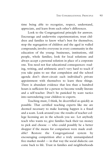time being able to recognize, respect, understand, appreciate, and learn from each other's differences.

Look to the Congregational principle for answers. Encourage and underwrite experimentation; trust children and families to know what's best for themselves; stop the segregation of children and the aged in walled compounds; involve everyone in every community in the education of the young: businesses, institutions, old people, whole families; look for local solutions and always accept a personal solution in place of a corporate one. You need not fear educational consequences: reading, writing, and arithmetic aren't very hard to teach if you take pains to see that compulsion and the school agenda don't short-circuit each individual's private appointment with themselves to learn these things. There is abundant evidence that less than a hundred hours is sufficient for a person to become totally literate and a self-teacher. Don't be panicked by scare tactics into surrendering your children to experts.

Teaching must, I think, be decertified as quickly as possible. That certified teaching experts like me are deemed necessary to make learning happen is a fraud and a scam. Look around you: the results of teacher-college licensing are in the schools you see. Let anybody teach who wants to; give families back their tax money to pick and choose — who could possibly be a better shopper if the means for comparison were made available? Restore the Congregational system by encouraging competition after a truly unmanipulated free-market model — in that way the social dialectic can come back to life. Trust in families and neighborhoods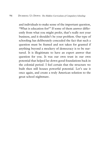#### 94 DUMBING US DOWN: *The Hidden Curriculum of Compulsory Schooling*

and individuals to make sense of the important question, "What is education for?" If some of them answer differently from what you might prefer, that's really not your business, and it shouldn't be your problem. Our type of schooling has deliberately concealed the fact that such a question must be framed and not taken for granted if anything beyond a mockery of democracy is to be nurtured. It is illegitimate to have an expert answer that question for you. It was our own trust in our own potential that helped lay down good foundations back in the colonial period. I feel certain that the structure we built then still houses powerful potential. Let's use it once again, and create a truly American solution to the great school nightmare.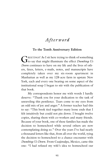### *Afterword*

### **To the Tenth Anniversary Edition**

THE TINGS! As I sit here trying to think of something Us to say that might illuminate the effect *Dumbing Us Down* continues to have on my life and the lives of others, faxes, letters, e-mails, notes, and manuscripts have completely taken over my six-room apartment in Manhattan as well as my 128-acre farm in upstate New York, each and every one bearing on some aspect of the institutional soup I began to stir with the publication of that book.

My correspondents honor me with words I hardly deserve: "Thank you for your dedication to the task of unraveling this pestilence. Tears come to my eyes from an odd mix of joy and anger." A former teacher had this to say: "This book tied together many loose ends that I felt intuitively but could not pin down. I bought twelve copies, sharing them with co-workers and many friends. Because of your book, one of these families has made the decision to homeschool while several others are now contemplating doing so." Over the years I've had nearly a thousand letters like that, from all over the world, tying the decision to homeschool to a chance encounter with *Dumbing Us Down*. From Cuajimalpa, Mexico, came this one: "I had refused my wife's idea to homeschool our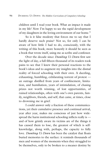children until I read your book. What an impact it made in my life! Now I'm happy to see the rapid development of my daughters in the loving environment of our home."

So is it false modesty that forces me to say that I hardly deserve such praise? Not so, for only I can be aware of how little I had to do, consciously, with the writing of this book; more honestly it should be seen as a book that wrote itself, using me as scribe and confessor.

Over the decade since *Dumbing Us Down* first saw the light of day, a full fifteen thousand of its readers took pains to see that I knew their personal reactions to the book's ideas and to augment my insights into the dismal reality of forced schooling with their own. A dazzling, exhausting, humbling, exhilarating torrent of protest an outrage distilled from years of confinement, limitation, and humiliation, years of intimidation, of chasing prizes not worth winning, of lost opportunities, of ruined relationships, often with one's own parents, family, neighbors, friends, and self, that came, at times, close to drowning me in grief.

I could answer only a fraction of these communications, yet their cumulative presence and continual arrival, year after year, makes me conscious of just how widespread the harm institutional schooling inflicts really is and of how grimly aware its victims are of the things it has caused them to lose, the greatest of which is selfknowledge, along with, perhaps, the capacity to fully love. *Dumbing Us Down* has been the catalyst that floats buried memories to the surface: it reminds thousands of men and women of the moments when they struggled to be themselves, only to be broken to a meaner destiny by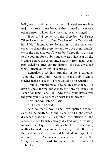bells, insults, and standardized tests. The otherwise silent majority wrote to me because they wanted at least one other person to know how they had been wronged.

How did I come to write *Dumbing Us Down*? When I won the first of my Teacher of the Year awards in 1990, I intended to do nothing at the ceremony except to thank the presenter and to wave at my daughter in the audience or, if I were bold enough, to ask her to the podium for a public hug (I was; I did). But on the evening before the ceremony, a student from many years past called to offer congratulations. He casually asked what I intended by way of remarks.

Remarks? I set him straight, or so I thought. "Nobody," I told him, "wants to hear a public school teacher make a speech." There would be no remarks.

"But you *have* to make speech," he demanded. "You have to speak for me, for Wendy, for Amy, for Bruce, for Tamir, for Janet, Jane, Jill, Andy; for all your classes over the years you have to sum up what it's all meant."

"No one will listen," I said.

"I'll listen," he said.

And so that's how "The Psychopathic School" came to be written, in one blaze of all-night coffeedrenched passion. As I expected, the officials of the school district (which actively disliked me) presenting me with the plaque in a Harlem school the next evening neither listened nor commented on my words. But over the next six months I received hundreds of requests to reprint the text. A chunk of it was even entered into the Congressional Record by Senator Bob Kerrey of Nebraska.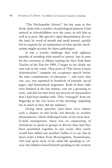"The Psychopathic School," the key essay in this book, deals with a number of pathological patterns I had noticed in schoolchildren over the years, in rich kids as well as in poor. My speech's rapid dissemination all over the land, by word of mouth and small journal, quickly led to requests for an explanation of what specific mechanisms might account for these pathologies.

It was a worthy challenge that took eighteen months of wrestling with myself to answer. Just in time for the ceremony in Albany naming me New York State Teacher of the Year for 1991, I began to see clearly my own role in the crime. Thus parts of "The Seven-Lesson Schoolteacher" comprise my acceptance speech before the state commissioner of education — and soon, that one, too, was reprinted in hundreds of journals, op-ed pages, and homeschool magazines. Both of these talks were finished at the last minute, cost me a groaning to write, and did not arise from any process of ratiocination that I had been familiar with. They "emerged" from my fingertips in the wee hours of the morning, surprising me as much as they did my audience.

Giving these speeches (and there were others, each a chapter in this book) led directly to another phenomenon, which challenged some of my most dearly-held assumptions: there was an outpouring of invitations to speak to groups so diverse that, had they been assembled together in one room, they surely would have killed one another! Suffice it to say that in short order a fellow from Monongahela, Pennsylvania, who had spent most of his adult life speaking to 13 year-old children found himself speaking in the western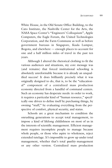White House, in the Old Senate Office Building, to the Cato Institute, the Nashville Center for the Arts, the NASA Space Center's "Engineers' Colloquium", Apple Computers, the Eagle Forum, the United Technologies Corporation, and the Farm Commune as well as before government bureaus in Singapore, Kuala Lumpur, Bogota, and elsewhere — enough places to account for one and a half million miles of travel in the past ten years.

Although I altered the rhetorical clothing to fit the various audiences and situations, my core message was (and remains) that forced institutional schooling is absolutely unreformable because it is already an unqualified success! It does brilliantly precisely what it was originally designed to do, that is, to be the "educational" component of a centralized mass production economy directed from a handful of command centers. Such an economy has desperate needs: in order to work, it requires a particular kind of "human resource," specifically one driven to define itself by purchasing things, by owning "stuff," by evaluating everything from the perspective of comfort, physical security, and status.

Schools are a great mechanism to condition the onrushing generations to accept total management, to impose a kind of lifelong childishness on most of us in the interests of scientific management. Efficient management requires incomplete people to manage because whole people, or those who aspire to wholeness, reject extended tutelage. It's impossible to grow up under total management, whether that's total *quality* management or any other version. Centralized mass production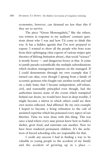economies, however, can demand no less than this if they are to survive.

The piece "Green Monongahela," like the others, was written in response to my auditors' constant questions about who I was and how I'd come to think this way. It has a hidden agenda that I'm now prepared to expose: I wanted to show all the people who bore scars from their upbringing (that experts of various stripes spin theories of lifelong limitation about), that social "science" is mostly hooey — and dangerous hooey at that. It exists to justify pseudo-scientifically the multiple subordinations which modern management imposes on the managed. If I could demonstrate through my own example that I turned out okay, even though I sprang from a family of eccentric geniuses who fought one another tooth and nail on a daily basis; that I became independent, self-reliant, civil, and reasonably principled even though, had the authorities known some of the events which transpired behind our doors, we would have been in deep trouble, I might become a mirror in which others could see their own stories reflected. And affirmed. By my own example I hoped to become a living refutation to the cult of anointed expertise which has poisoned every aspect of our liberties. Time we were done with this thing. This was once a land where every sane person knew how to build a shelter, grow food, and entertain one another. Now we have been rendered permanent children. It's the architects of forced schooling who are responsible for that.

I credit any success I had in finding a way to be valuable to young people to the accident of my family and the accident of growing up in a place —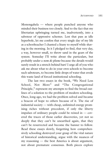Monongahela — where people punched anyone who minded their business too closely. And to the fact that my libertarian upbringing turned me, inadvertently, into a saboteur of oppressive schemes. Lest that pass as idle hyperbole, let me confess that every single day of my life as a schoolteacher I chanted a litany to myself while shaving in the morning. In it I pledged to find, that very day, a way, however small, to throw sand in the gears of the system. Someday I'll write about the particulars, but probably under a *nom de plume* because the details would surely result in a stretch behind bars! I urge all of you who ask me about what to do in your own schools to become such saboteurs, to become little drops of water that erode this waste land of forced institutional schooling.

The last two essays in the book, "We Need Less School, Not More" and "The Congregational Principle," represent my attempts to find the broad outlines of a solution to the problem of modern schooling. Once, long ago, we had the problem solved and became a beacon of hope to others because of it. The rise of industrial society — with cheap, unlimited energy promising riches without precedent, if only the liberty impulses of ordinary people could be reined in — covered the traces of those earlier discoveries, yet not so deeply that they can't be unearthed again, that they can't be resurrected and become the banner to follow. Read these essays slowly, forgetting how comprehensively schooling destroyed your grasp of the vital nature of historical understanding, argue with the nuances of my reasoning — the best America is about argument, not about premature consensus. Both pieces explore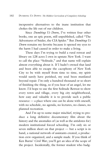inexpensive alternatives to the inane institution that chokes the life out of our children.

Since *Dumbing Us Down*, I've written four other books, one an epic poem, still unpublished, called "The Adventures of Snider, the CIA Spider." But *Dumbing Us Down* remains my favorite because it opened my eyes to the harm I had caused in order to make a living.

These days I'm trying to build a rural retreat and library on 128 acres I own in upstate New York. I want to call the place "Solitude," and that name will explain almost everything about it. If I hadn't owned that land and been able to escape the cacophony of New York City to be with myself from time to time, my spirit would surely have perished, my soul been mutilated beyond repair. I'm only a hundred thousand or so short of finishing the thing, so if you hear of an angel, let me know. I'd hope to use the first Solitude Retreat to show every town and village, every big city neighborhood, how easy and valuable it is to provide such a public resource — a place where one can be alone with oneself, with no schedule, no agenda, no lectures, no classes, no planned recreation.

And I'm up to some major mischief, trying to produce a long definitive documentary film about the history and the anomalies of (as well as the antidotes for) modern institutional forced schooling. I'm only six or seven million short on that project — but a script is in hand, a national network of assistants created, a production crew organized, and a sample made. If you think of Ken Burns' *Civil War*, you'll get an idea of the scope of the project. Incidentally, the former student who badg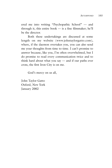ered me into writing "Psychopathic School" — and through it, this entire book — is a fine filmmaker; he'll be the director.

Both these undertakings are discussed at some length on my website (www.johntaylorgatto.com), where, if the daemon overtakes you, you can also send me your thoughts from time to time. I can't promise to answer because, like you, I'm often overwhelmed, but I do promise to read every communication twice and to think hard about what you say — and if our paths ever cross, the first Iron City is on me.

God's mercy on us all,

John Taylor Gatto Oxford, New York January 2002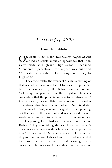## *Postscript, 2005*

### **From the Publisher**

ON APRIL 7, 2004, the *Mid-Hudson Highland Post* carried an article about an appearance that John Gatto made at Highland High School. Headlined "Rendered Speechless," the report was subtitled "Advocate for education reform brings controversy to Highland."

The article relates the events of March 25 evening of that year when the second half of John Gatto's presentation was canceled by the School Superintendent, "following complaints from the Highland Teachers Association that the presentation was too controversial." On the surface, the cancellation was in response to a video presentation that showed some violence. But retired student counselor Paul Jankiewicz begged to differ, pointing out that none of the dozens of students he talked to afterwards were inspired to violence. In his opinion, few people opposing Gatto had seen the video presentation. Rather, "They were taking the lead from the teacher's union who were upset at the whole tone of the presentation." He continued, "Mr. Gatto basically told them that they were not serving kids well and that students needed to be told the truth, be given real-life learning experiences, and be responsible for their own education.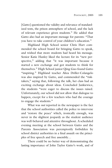[Gatto] questioned the validity and relevance of standardized tests, the prison atmosphere of school, and the lack of relevant experience given students." He added that Gatto also had an important message for parents: "That you have to take control of your children's education."

Highland High School senior Chris Hart commended the school board for bringing Gatto to speak, and wished that more students had heard his message. Senior Katie Hanley liked the lecture for its "new perspective," adding that "it was important because it started a new exchange and got students to think for themselves." High School junior Qing Guo found Gatto "inspiring." Highland teacher Aliza Driller-Colangelo was also inspired by Gatto, and commended the "risktakers," saying that, following the talk, her class had an exciting exchange about ideas. Concluded Jankiewicz, the students "were eager to discuss the issues raised. Unfortunately, our school did not allow that dialogue to happen, except for a few teachers who had the courage to engage the students."

What was *not* reported in the newspaper is the fact that the school authorities called the police to intervene and 'restore the peace' which, ironically enough, was never in the slightest jeopardy as the student audience was well-behaved and attentive throughout. A scheduled evening meeting at the school between Gatto and the Parents Association was peremptorily forbidden by school district authorities in a final assault on the principles of free speech and free assembly…

There could be no better way of demonstrating the lasting importance of John Taylor Gatto's work, and of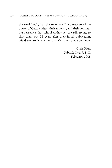#### 106 DUMBING US DOWN: *The Hidden Curriculum of Compulsory Schooling*

this small book, than this sorry tale. It is a measure of the power of Gatto's ideas, their urgency, and their continuing relevance that school authorities are still trying to shut them out 12 years after their initial publication, afraid even to debate them. — May the crusade continue!

> Chris Plant Gabriola Island, B.C. February, 2005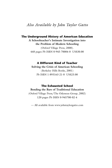*Also Available by John Taylor Gatto*

### **The Underground History of American Education**

**A Schoolteacher's Intimate Investigation into the Problem of Modern Schooling** (Oxford Village Press, 2000).

448 pages Pb ISBN 0-945-70004-0 US\$30.00

### **A Different Kind of Teacher**

**Solving the Crisis of American Schooling** (Berkeley Hills Books, 2001) Pb ISBN 1-893163-21-0 US\$23.00

### **The Exhausted School Bending the Bars of Traditional Education**

(Oxford Village Press/The Odysseus Group, 2002) 120 pages Pb ISBN 0-945700-02-4

— All available from www.johntaylorgatto.com